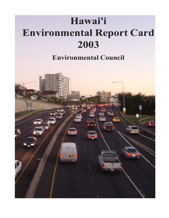## **Hawai'i Environmental Report Card 2003**

## **Environmental Council**

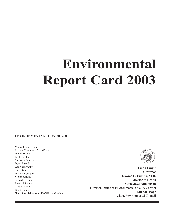# **Environmental Report Card 2003**

#### **ENVIRONMENTAL COUNCIL 2003**

Michael Faye, Chair Patricia Tummons, Vice-Chair David Bylund Faith Caplan Melissa Chimera Donn Fukuda Gail Grabowsky Shad Kane D'Arcy Kerrigan Victor Kimura Arnold L. Lum Puanani Rogers Chester Saito Brant Tanaka Genevieve Salmonson, Ex-Officio Member

**The Committee of the Committee of the Committee** 



÷

**Linda Lingle** Governor **Chiyome L. Fukino, M.D.** Director of Health **Genevieve Salmonson** Director, Office of Environmental Quality Control **Michael Faye** Chair, Environmental Council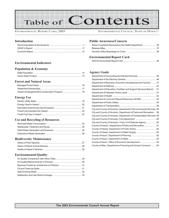# Table of Contents

#### ENVIRONMENTAL REPORT CARD, 2003 ENVIRONMENTAL COUNCIL, STATE OF HAWAI'I

#### **Introduction**

#### **Environmental Indicators**

### **Population & Economy**

#### **Forest and Natural Areas**

#### **Energy Use**

#### **Use and Recycling of Resources**

#### **Biodiversity Maintenance**

#### **Environmental Quality**

#### **Public Awareness/Concern**

#### **Environmental Report Card**

|--|

#### **Agency Goals**

| Department of Accounting and General Services  46                     |  |
|-----------------------------------------------------------------------|--|
|                                                                       |  |
| Department of Business, Economic Development and Tourism  47          |  |
|                                                                       |  |
| Department of Education, Facilities and Support Services Branch  51   |  |
|                                                                       |  |
|                                                                       |  |
| Department of Land and Natural Resources (DLNR)  52                   |  |
|                                                                       |  |
|                                                                       |  |
| City and County of Honolulu, Department of Environmental Services 58  |  |
| City and County of Honolulu, Department of Parks and Recreation  58   |  |
| City and County of Honolulu, Department of Transportation Services 59 |  |
|                                                                       |  |
| City and County of Honolulu, O'ahu Civil Defense Agency  60           |  |
| County of Hawai'i, Department of Parks and Recreation  61             |  |
| County of Hawaii, Department of Public Works  62                      |  |
|                                                                       |  |
|                                                                       |  |
|                                                                       |  |
| County of Kaua'i, Office of Economic Development  63                  |  |
| County of Maui, Department of Housing and Human Concerns  64          |  |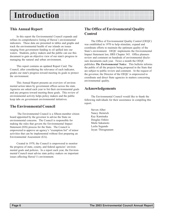## **Introduction**

### **This Annual Report**

In this report the Environmental Council expands and refines its comprehensive listing of Hawai`i environmental indicators. These data are presented in tables and graphs and track the environmental health of our islands on issues ranging from government funding to oil spilled into our waters. Students, policy makers and the public can use this document to gain an objective view of our state's progress in managing the natural and urban environment.

This report contains an updated Report Card. The Council, after considering the relevance of each indicator, grades our state's progress toward meeting its goals to protect the environment.

This Annual Report presents an overview of environmental action taken by government offices across the state. Agencies are asked each year to list their environmental goals and any progress toward meeting these goals. This review of environmental activity helps policy makers and the public keep tabs on government environmental initiatives.

## **The Environmental Council**

 The Environmental Council is a fifteen-member citizen board appointed by the governor to advise the State on environmental concerns. The Council is responsible for making the rules that govern the Environmental Impact Statement (EIS) process for the State. The Council is empowered to approve an agency's "exemption list" of minor activities that can be implemented without first preparing an Environmental Assessment (EA).

Created in 1970, the Council is empowered to monitor the progress of state, county, and federal agencies' environmental goals and policies. In a report each year, the Environmental Council must advise state policy makers on important issues affecting Hawai'i's environment.

## **The Office of Environmental Quality Control**

The Office of Environmental Quality Control (OEQC) was established in 1970 to help stimulate, expand and coordinate efforts to maintain the optimum quality of the State's environment. OEQC implements the Environmental Impact Statement law, HRS Chapter 343. Office planners review and comment on hundreds of environmental disclosure documents each year. Twice a month the OEQC publishes *The Environmental Notice*. This bulletin informs the public of all the projects being proposed in the State that are subject to public review and comment. At the request of the governor, the Director of the OEQC is empowered to coordinate and direct State agencies in matters concerning environmental quality.

### **Acknowledgements**

The Environmental Council would like to thank the following individuals for their asssistance in compiling this report.

Steven Alber Nancy Heinrich Kay Kaminaka Douglas Oshiro Maile Sakamoto Leslie Segundo Jeyan Thirugnanam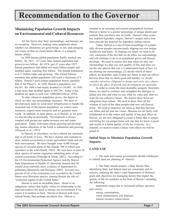### **Minimizing Population Growth Impacts on Environmental and Cultural Resources**

All life forms alter their surroundings, and humans are no exception. However, making value judgments about whether our alterations are good things or not, and changing our course so that we create better effects, is a uniquely human ability.

In 1804 human global population finally reached one billion. By 1927, 123 years later, human population had grown to two billion. By 1974, just 47 years after 1927, human population had added two more billion people and doubled again, reaching four billion. The human population is 6.3+ billion today and growing. The United Nations estimates that global population will reach a minimum of 9 billion. Hawaii's post-contact population history parallels that of the Planet's. In 1850, Hawaii's population was 84,165. By 1900 it had nearly doubled to 154,001. In 1950 it had more than doubled again to 499,794. Today it has doubled yet again to well over 1,000,000 (Oliver, 1995).

To date, whenever population grows, the degree to which we alter our surroundings increases. We farm or develop more land, we need more infrastructure to handle the increased size of the human population, we extract more resources, require more resources and we generate more waste. In addition, in most places, as in Hawaii, as we grow we also develop economically. Development is always coupled with greater per capita resource use and waste generation. Today, with many places growing and developing, human alteration of the Earth is substantial and growing (Vitousek et al., 1997).

In Hawaii, as elsewhere, we have altered our surroundings in all kinds of ways. We have cleared, and continue to clear, natural ecosystems to create agricultural lands and our built environment. We have brought some 4,600 foreign species of vascular plants to the islands, 700 of which now reproduce in the wild (Smith, 1985). We now have at least 30 alien species of marine organisms inhabiting parts of our coastal ecosystems (Eldredge & Smith, 2001). According to the US Environmental Protection Agency and the Hawaii State Department of Health, 81 Hawaiian streams and 30 coastal areas currently show evidence of impairment by pollutants (Henderson and Harrigan, 2002). Seventy-two percent of all of the extinctions ever recorded in the United States were Hawaiian species, earning Hawaii the title of: "extinction capital of the United States."

Hawaii is such an incredible place. Home to an indigenous culture that highly values its relationship to the land and realizes the need to nurture our environment if we expect it to nurture us back. Hawaii is blessed with more natural beauty than perhaps anywhere else. Hawaii is

situated in an amazing and remote geographical location. Hawaii is home to a greater percentage of unique plants and animals than anywhere else on Earth. Hawaii's blue ocean has inspired legendary singers, Hawaii's unique native koa trees provide the material for legendary sailing canoes.

Today, Hawaii is a one-of-kind assemblage of wonderfully diverse peoples unconsciously shaping our own unique worldview and home. In shaping our future we need to be very conscious of the fact that we do effect our surroundings and will continue to do so as population grows and Hawaii develops. We need to realize also that when we alter our surroundings we alter our own quality of life, and since we are the one species that can: (1) understand much of how we are altering our surroundings, (2) decide which of those effects are desirable, and (3) plan our future so that our effects become those that we deem good and healthy, *we should consider ourselves obligated to design and carry out a future in which the effect of growth and development are desirable*.

In order to create the most desirable, uniquely Hawaiian future, we need to continue and strengthen the dialogue to define just who and what we are, what we value and what we want for our collective future. We need to draw from our indigenous host culture. We need to draw from all the wisdom of each of the other peoples that now call Hawaii home. We need to empower our ideas so that they become our future and not just our vision. Because we are fairly well enlightened as to the nature and quality of our past effect on Hawaii, we are now obligated to create a future that is unique and fitting for our unique home and one that we know is good and results in a better quality of life for everyone. In a nutshell, we need to create a future with effects we will be proud of.

### **Initial Steps to Minimize Population Growth Impacts**

#### **LAND USE**

1. The state and county governments should collaborate to rethink land use planning in Hawai'i.

2. The State should prepare a State Master Plan identifying State and federal land use constraints and resources, outlining the State's (and Department of Defense) goals and objectives for managing factors that impact the quality of life for residents in the State of Hawai'i including the following:

population surges due to increased military presence and cruises,

energy consumption, waste minimization and disposal; natural resource conservation,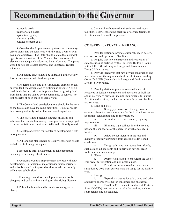economic goals, transportation goals, agricultural goals, education goals, cultural heritage goals.

3. Counties should prepare comprehensive communitydriven plans that are consistent with the State's Master Plan goals and objectives. The State should dictate the methodology, format and outline of the County plans to ensure all elements are adequately addressed by all Counties. The plans would be subject to State approval and updated at regular intervals.

4. All zoning issues should be addressed at the County level in accordance with land use plans.

5. Redefine State land use Agricultural districts or add another land use designation to distinguish existing Agricultural lands that are prime or important farm or grazing land from lands that are valued by the community as regions (not just pockets) of open space or scenic vistas.

6. The County land use designations should be the same as the State's and have the same definition. Counties would have zoning authority within the land use designations.

7. The state should include language in leases and subleases that dictate best management practices be employed to ensure activities are environmentally and culturally sound.

8. Develop of system for transfer of development rights among counties.

9. All land use plans (State & County) generated should include the following principles:

a. Encourage infill development to take maximum advantage of existing infrastructure.

b. Coordinate Capital Improvement Projects with new development. For example, major transportation corridors and schools should be improved or developed concurrently with a new subdivision.

c. Encourage mixed use development with schools, shopping and parks within walking or bike-riding distance.

d. Public facilities should be models of energy efficiency.

e. Communities burdened with solid waste disposal facilities, electric generating facilities or sewage treatment facilities should be well compensated.

### **CONSERVE, RECYCLE, ENHANCE**

1. Pass legislation to promote sustainability in design, construction and operation of facilities.

a. Require that new construction and renovation of state facilities be certified by the US Green Building Council with a LEED (Leadership in Energy and Environmental Design) Silver rating.

b. Provide incentives that new private construction and renovation meet the requirements of the US Green Building Council's LEED (Leadership in Energy and Environmental Design) Silver rating.

2. Pass legislation to promote sustainable use of resources in design, construction and operation of facilities and in delivery of services; include requirements for public facilities and services; include incentives for private facilities and services.

a. Land and sites

i. Strongly promote use of indigenous or endemic plants that are appropriate for the local microclimate as primary landscaping and in reforestation.

ii. In rural areas, reduce security lighting requirements.

iii. Eliminate light spillage into the sky and beyond the boundaries of the parcel in which a facility is located.

iv. Allow no net increase in the rate and quantity of stormwater runoff from existing to developed conditions.

v. Design solutions that reduce heat islands, such as high-albedo roofs and impervious paving, green roofs, and landscape design.

b. Water

i. Promote legislation to encourage the use of gray-water for irrigation and non-potable uses.

ii. Provide incentives to reduce water consumption by 20% from current standard usage for the facility type.

c. Energy

i. Expand tax credits for solar, wind and other alternative energy systems for consumers and businesses.

ii. Disallow Covenants, Conditions & Restrictions (CC&R's) that restrict external solar devices, such as solar panels, and clotheslines.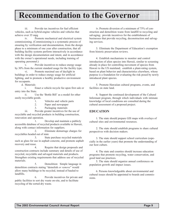iii. Provide tax incentives for fuel efficient vehicles, such as hybrid-engine vehicles and vehicles that achieve over 35 mpg

iv. Promote mechanical and electrical system commissioning. (Commissioning is a systematic process of ensuring by verification and documentation, from the design phase to a minimum of one year after construction, that all building facility systems perform interactively in accordance with the design documentation and intent, and in accordance with the owner's operational needs, including training of operating personnel.)

v. Provide incentives to reduce energy usage by 30% from the current standard usage for the facility type.

vi. Promote maximal use of daylight in buildings in order to reduce energy usage for artificial lighting, and to promote a healthy productive environment for occupants.

d. Materials

i. Enact a vehicle recycle fee upon first sale or entry into the State.

ii. Use the 'Bottle Bill' as a model for other easily recyclable goods.

1. Vehicles and vehicle parts

2. Paper and newspaper

3. Packaging materials

iii. Provide greater incentives for the use of recyclable and recycled products in building construction, renovation and operation.

1. Develop and maintain a publicly accessible database of recycled products available in Hawaii, along with contact information for suppliers.

2. Eliminate demurrage charges for recyclables headed out of state

3. State purchase recycled materials such as glass for use in asphalt concrete, and promote asphalt recovery and reuse.

4. Require that design proposals and construction contracts include summary and details of use of recycled, recyclable and salvaged materials and products. Strengthen existing requirements that address use of recycled materials.

5. Demolition: Simple language in demolition contracts stating "demolish *or remove*" would allow many buildings to be recycled, instead of hauled to landfills.

6. Provide incentives for private and public facilities to sort dry waste on-site, and to facilitate recycling of the sorted dry waste.

iv. Promote diversion of a minimum of 75% of construction and demolition waste from landfill to recycling and salvaging; provide incentives for the establishment of businesses that provide recycling, deconstruction and salvaging services.

3. Eliminate the Department of Education's exemption from historic preservation reviews.

4. Establish mechanisms to monitor and control introduction of alien species into Hawaii, similar to screening already in place for controlling movement of species from Hawaii to the US mainland; establish a plant-rating system, based on plant behavior and characteristics elsewhere, whose purpose is a foundation for evaluating the risk posed by newly introduced plant species.

5. Promote Hawaiian cultural programs, events, and facilities on state land.

6. Support the continued development of the Cultural Informant program, through which individuals with intimate knowledge of local conditions are consulted during the cultural assessment of a proposed project.

#### **EDUCATION**

1. The state should prepare GIS maps with overlays of cultural sites and environmental resources.

2. The state should establish programs to share cultural perspectives with decision makers.

3. The state should support school curriculum (especially in the earlier years) that promote the understanding of our host culture.

4. The state and counties should increase education programs that promote recycling, water conservation, and good land use practices.

5. The state should organize annual conferences on population growth and impact issues.

6. Persons knowledgeable about environmental and cultural issues should be appointed to boards and commissions.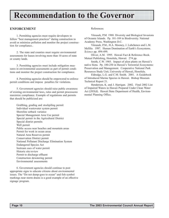#### **ENFORCEMENT**

1. Permitting agencies must require developers to follow "best management practices" during construction to avoid or minimize pollution and monitor the project construction for compliance..

2. The state and counties must require environmental assessments for leases involving more than 10 acres of state or county lands.

3. Permitting agencies must include mitigation measures in environmental assessments as part of permit conditions and monitor the project construction for compliance.

4. Permitting agencies should be empowered to enforce permit conditions and impose penalties for violations.

5. Government agencies should raise public awareness of existing environmental laws, rules and permit processesto maximize compliance. Example of regulations and permits that should be publicized are:

Grubbing, grading and stockpiling permit Individual wastewater system permit Shoreline setback variance Special Management Area Use permit Special permit in the Agricultural District Special district permits Well permit Public access near beaches and mountain areas Permit for work in ocean areas Natural Area Reserves permit Conservation District permit National Pollutant Discharge Elimination System Endangered Species Act Instream uses of water permit Historic site review Permit to discharge effluent Construction dewatering permit Environmental assessments

6. Government agencies should continue to post appropriate signs to educate citizens about environmental issues. The "Do not dump-goes to ocean" and fish symbol markings near storm drains is a good example of an effective signage program.

References:

Vitousek, P.M. 1988. Diversity and Biological Invasions of Oceanic Islands. Pp. 181-189 in Biodiversity. National Academy Press, Washington D.C.

Vitousek, P.M., H.A. Mooney, J. Lubchenco and L.M. Mellilo. 1997. Human Domination of Earth's Ecosystems. *Science* pp. 494-499.

Oliver, A.M. 1995. Hawaii Fact & Reference Book. Mutual Publishing, Honolulu, Hawaii. 274 pp.

Smith, C.W. 1985. Impact of alien plants on Hawaii's native biota. Pp. 180-250 in Hawaii's Terrestrial Ecosystems: Preservation and Management. Cooperative National Park Resources Study Unit, University of Hawaii, Honolulu.

Eldredge, L.G. and C.M. Smith. 2001. A Guidebook of Introduced Marine Species in Hawaii. Bishop Museum Technical Report 21.

Henderson, K. and J. Harrigan. 2002. Final 2002 List of Impaired Waters in Hawaii Prepared Under Clean Water Act §303(d). Hawaii State Department of Health, Environmental Planning Office.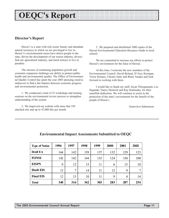## **OEQC's Report**

### **Director's Report**

Hawai'i is a state with rich scenic beauty and abundant natural resources in which we are privileged to live in. Hawai'i's environmental assets have drawn people to the state, driven the development of our tourist industry, diversified our agricultural industry, and lured retirees to live in paradise.

The stresses of continuing population growth and economic expansion challenge our ability to protect public health and environmental quality. The Office of Environmental Quality Control has spent the year 2003 pursuing creative endeavors to find a fair balance between economic progress and environmental protection.

1. We conducted a total of 25 workshops and training sessions on the environmental review process to strengthen understanding of the system

2. We improved our website with more that 350 attached urls and up to 47,000 hits per month

3. We prepared and distributed 1000 copies of the Hawaii Environmental Education Resource Guide to local schools

We are committed to increase our efforts to protect Hawaii's environment for the futue of Hawaii.

At this time, I welcome the new members of the Environmental Council, David Bylund, D'Arcy Kerrigan, Victor Kimura, Chester Saito and Brant Tanaka and look forward to working with them.

I would like to thank my staff, Jeyan Thirugnanam, Les Segundo, Nancy Heinrich and Kay Kaminaka, for their unselfish dedication. We will continue to assist in the protection of the state's environment for the benefit of the people of Hawai'i.

Genevieve Salmonson

| <b>Type of Notice</b> | 1996 | 1997           | 1998 | 1999 | 2000 | 2001 | 2002 |
|-----------------------|------|----------------|------|------|------|------|------|
| Draft EA              | 164  | 142            | 159  | 137  | 132  | 129  | 123  |
| <b>FONSI</b>          | 142  | 142            | 144  | 133  | 124  | 130  | 100  |
| <b>EISPN</b>          | 9    | 12             | 15   | 11   | 6    | 15   | 10   |
| <b>Draft EIS</b>      | 13   | $\overline{7}$ | 14   | 11   | 12   | 9    | 7    |
| <b>Final EIS</b>      | 12   | 13             | 10   | 11   | 9    | 4    | 14   |
| <b>Total</b>          | 340  | 316            | 342  | 303  | 283  | 287  | 254  |

### **Environmental Impact Assessments Submitted to OEQC**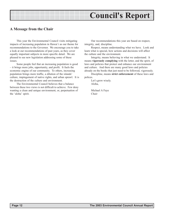## **Council's Report**

### **A Message from the Chair**

This year the Environmental Council visits mitigating impacts of increasing population in Hawai`i as our theme for recommendations to the Governor. We encourage you to take a look at our recommendations of past years, as they cover equally important subjects in more specific detail. We are pleased to see new legislation addressing some of these issues.

Some people feel that an increasing population is good – it brings more jobs, opportunity, and profit. It fuels the economic engine of our community. To others, increasing population brings more traffic, a dilution of the islands' culture, impingement of native rights, and urban sprawl. It is the destruction of the culture and environment.

The Environmental Council believes that a balance between these two views is not difficult to achieve. Few deny wanting a clean and unique environment, or, perpetuation of the 'aloha' spirit.

Our recommendations this year are based on respect, integrity, and, discipline.

Respect, means understanding what we have. Look and learn what is special, how actions and decisions will affect the culture and the environment.

Integrity, means believing in what we understand. It means **vigorously complying** with the letter, and the spirit, of laws and policies that protect and enhance our environment and culture. And there are many good laws and policies already on the books that just need to be followed, vigorously.

Discipline, means **strict enforcement** of these laws and polices.

Let's grow wisely. Aloha,

Michael A Faye Chair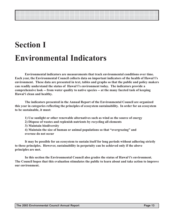## **Section I Environmental Indicators**

**Environmental indicators are measurements that track environmental conditions over time. Each year, the Environmental Council collects data on important indicators of the health of Hawai'i's environment. These data are presented in text, tables and graphs so that the public and policy makers can readily understand the status of Hawai'i's environment today. The indicators provide a comprehensive look -- from water quality to native species -- at the many faceted task of keeping Hawai'i clean and healthy.**

**The indicators presented in the Annual Report of the Environmental Council are organized this year in categories reflecting the principles of ecosystem sustainability. In order for an ecosystem to be sustainable, it must:**

- **1) Use sunlight or other renewable alternatives such as wind as the source of energy**
- **2) Dispose of wastes and replenish nutrients by recycling all elements**
- **3) Maintain biodiversity**
- **4) Maintain the size of human or animal populations so that "overgrazing" and overuse do not occur**

**It may be possible for an ecosystem to sustain itself for long periods without adhering strictly to these principles. However, sustainability in perpetuity can be achieved only if the above principles are met.**

**In this section the Environmental Council also grades the status of Hawai'i's environment. The Council hopes that this evaluation stimulates the public to learn about and take action to improve our environment.**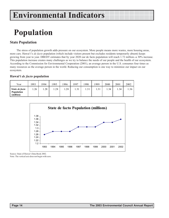## **Population**

### **State Population**

The stress of population growth adds pressure on our ecosystem. More people means more wastes, more housing areas, more cars. Hawai'i's *de facto* population (which include visitors present but excludes residents temporarily absent) keeps growing from year to year. DBEDT estimates that by year 2020 our de facto population will reach 1.72 million--a 30% increase. This population increase creates many challenges as we try to balance the needs of our people and the health of our ecosystem. According to the Commission for Environmental Cooperation (2001), an average person in the U.S. consumes four times as many resources as the average person in the world. Reducing our consumption is one way to minimize our impact on our ecosystem.

#### **Hawai'i** *de facto* **population**

| Year                                             | 1993 | 1994 | 1995 | '996 | 1997 | 1998 | 999  | 2000 | 2001 | 2002 |
|--------------------------------------------------|------|------|------|------|------|------|------|------|------|------|
| State de facto<br><b>Population</b><br>(million) | 26   | 1.28 | .28  | 1.28 | 1.31 | 1.31 | 1.31 | 1.34 | 1.34 | 1.36 |



Source: State of Hawai'i Data Book 2002.

Note: The vertical axis does not begin with zero.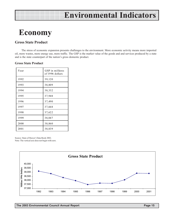## **Economy**

### **Gross State Product**

The stress of economic expansion presents challenges to the environment. More economic activity means more imported oil, more wastes, more energy use, more traffic. The GSP is the market value of the goods and and services produced by a state and is the state counterpart of the nation's gross domestic product.

#### **Gross State Product**

| Year | GSP in millions<br>of 1996 dollars |
|------|------------------------------------|
| 1992 | 39,120                             |
| 1993 | 38,809                             |
| 1994 | 38,332                             |
| 1995 | 37,948                             |
| 1996 | 37,490                             |
| 1997 | 37,668                             |
| 1998 | 37,622                             |
| 1999 | 38,047                             |
| 2000 | 38,860                             |
| 2001 | 38,839                             |

Source: State of Hawai'i Data Book 2002. Note: The vertical axis does not begin with zero.

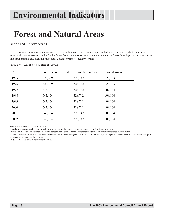## **Forest and Natural Areas**

### **Managed Forest Areas**

Hawaiian native forests have evolved over millions of years. Invasive species that choke out native plants, and feral animals that cause erosion on the fragile forest floor can cause serious damage to the native forest. Keeping out invasive species and feral animals and planting more native plants promotes healthy forests.

| Year | <b>Forest Reserve Land</b> | <b>Private Forest Land</b> | Natural Areas |
|------|----------------------------|----------------------------|---------------|
| 1995 | 622,339                    | 328,742                    | 122,703       |
| 1996 | 622,339                    | 328,742                    | 122,703       |
| 1997 | 643,134                    | 328,742                    | 109,164       |
| 1998 | 643,134                    | 328,742                    | 109,164       |
| 1999 | 643,134                    | 328,742                    | 109,164       |
| 2000 | 643,134                    | 328,742                    | 109,164       |
| 2001 | 643,134                    | 328,742                    | 109,164       |
| 2002 | 643,134                    | 328,742                    | 109,164       |

#### **Acres of Forest and Natural Areas**

Source: State of Hawai'i Data Book 2002.

Note: Forest Reserve Land = State-owned and privately-owned lands under surrender agreement in forest reserve system.

Private Forest Land = Private forest land within conservation district. The majority of these lands were previously in the forest reserve system.

Natural Areas = The State of Hawai'i created the Natural Area Reserves System, or NARS, to preserve and protect representative samples of the Hawaiian biological ecosystems and geological formations.

In 1937, 1,027,299 acres were in forest reserves.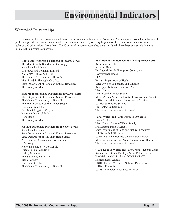### **Watershed Partnerships**

Forested watersheds provide us with nearly all of our state's fresh water. Watershed Partnerships are voluntary alliances of public and private landowners committed to the common value of protecting large areas of forested watersheds for water recharge and other values. More than 200,000 acres of important watershed areas in Hawai'i have been placed within these unique public-private partnerships

#### **West Maui Watershed Partnership (50,000 acres)**

The Maui County Board of Water Supply Kamehameha Schools C. Brewer and Company Limited Amfac/JMB Hawai'i, L.L.C. The Nature Conservancy of Hawai'i Maui Land & Pineapple Co., Inc. State Department of Land and Natural Resources The County of Maui

#### **East Maui Watershed Partnership (100,000+ acres)**

State Department of Land and Natural Resources The Nature Conservancy of Hawai'i The Maui County Board of Water Supply Haleakala Ranch Co. East Maui Irrigation Co., Ltd. Haleakala National Park Hana Ranch The County of Maui

#### **Ko'olau Watershed Partnership (50,000+ acres)**

Kamehameha Schools State Department of Land and Natural Resources State Department of Hawaiian Home Lands Agribusiness Development Corporation U.S. Army Honolulu Board of Water Supply Queen Emma Foundation Bishop Museum Manana Valley Farm LLC Tiana Partners Dole Food Co., Inc. The Nature Conservancy of Hawai'i

#### **East Moloka'i Watershed Partnership (5,000 acres)**

Kamehameha Schools Kapualei Ranch Ke Aupuni Lokahi Enterprise Community Governance Board EPA Hawai'i Department of Health State Division of Forestry and Wildlife Kalaupapa National Historical Park Maui County Maui Board of Water Supply Moloka'i-Lana'i Soil and Water Conservation District USDA Natural Resource Conservation Services US Fish & Wildlife Service US Geological Services The Nature Conservancy of Hawai'i

#### **Lanai Watershed Partnership (3,580 acres)**

Castle & Cooke Maui County Board of Water Supply Hui Malama Pono O Lana'i State Department of Land and Natural Resources US Fish & Wildlife Service USDA Natural Resources Conservation Service Molokai-Lanai Soil and Water Conservation District The Nature Conservancy of Hawai'i

#### **Ola'a-Kilauea Watershed Partnership (420,000 acres)**

Kulani Correctional Facility - State, Public Safety Puu Maka'ala NAR - State, DLNR DOFAW Kamehameha Schools USDI - Hawaii Volcanoes National Park Service USDA - Forest Service USGS - Biological Resources Division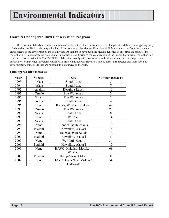### **Hawai'i Endangered Bird Conservation Program**

The Hawaiian Islands are home to species of birds that are found nowhere else on the planet, exhibiting a staggering array of adaptations to life in their unique habitats. Prior to human disturbance, Hawaiian birdlife was abundant from the montane cloud forests to the dry forests by the sea in what are thought to have been the highest densities of any birds on earth. Of the more than 140 native breeding species and subspecies present prior to the colonization of the islands by humans, more than half have been lost to extinction. The DOFAW collaborates broadly with government and private researchers, managers, and landowners to implement programs designed to protect and recover Hawai'i's unique forest bird species and their habitats. Unfortunately, some birds that are released do not survive in the wild.

#### **Endangered Bird Releases**

| Year | <b>Species</b> | <b>Site</b>                | <b>Number Released</b> |
|------|----------------|----------------------------|------------------------|
| 1993 | 'Alala         | South Kona                 | 5                      |
| 1994 | 'Alala         | South Kona                 | $\overline{7}$         |
| 1995 | 'Amakihi       | Keauhou Ranch              | 16                     |
| 1995 | 'Oma'o         | Puu Wa'awa'a               | $\overline{2}$         |
| 1996 | 'I'iwi         | Puu Wa'awa'a               | $\overline{2}$         |
| 1996 | 'Alala         | South Kona                 | $\overline{4}$         |
| 1996 | Nene           | Kaua'i; W. Maui; Hakalau   | 49                     |
| 1997 | 'Oma'o         | Puu Wa'awa'a               | 23                     |
| 1997 | 'Alala         | South Kona                 | 8                      |
| 1997 | Nene           | W. Maui                    | 14                     |
| 1998 | 'Alala         | South Kona                 | 3                      |
| 1998 | Nene           | Hana 'Ula; Haleakala       | 17                     |
| 1999 | Puaiohi        | Kawaikoi, Alaka'i          | 14                     |
| 1999 | Nene           | Haleakala; Hana Ula        | 14                     |
| 2000 | Puaiohi        | Kawaikoi, Alaka'i          | 5                      |
| 2000 | Nene           | W. Maui, Kaua'i,           | 34                     |
| 2001 | Puaiohi        | Kawaikoi, Alaka'i          | 15                     |
| 2001 | Nene           | HAVO; Hakalau; Moloka'i;   | 68                     |
|      |                | W. Maui                    |                        |
| 2002 | Puaiohi        | Halepa'akai, Alaka'i       | 8                      |
| 2002 | Nene           | HAVO; Hana 'Ula, Moloka'i; | 34                     |
|      |                | Haleakala                  |                        |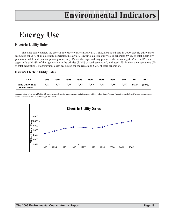## **Energy Use**

### **Electric Utility Sales**

The table below depicts the growth in electricity sales in Hawai'i. It should be noted that, in 2000, electric utility sales accounted for 95% of all electricity generation in Hawai'i. Hawai'i's electric utility sales generated 59.6% of total electricity generation, while independent power producers (IPP) and the sugar industry produced the remaining 40.4%. The IPPs and sugar mills sold 88% of their generation to the utilities (35.4% of total generation), and used 12% in their own operations (5% of total generation). Transmission losses accounted for the remaining 5.2% of total generation.

#### **Hawai'i Electric Utility Sales**

| Year                                        | 1993  | 1994  | 1995  | 1996  | 1997  | 1998  | 1999  | 2000  | 2001  | 2002   |
|---------------------------------------------|-------|-------|-------|-------|-------|-------|-------|-------|-------|--------|
| <b>State Utility Sales</b><br>(Million kWh) | 8,658 | 8,948 | 9,187 | 9.378 | 9,346 | 9,261 | 9,380 | 9.690 | 9,854 | 10,049 |

Sources: State of Hawai'i DBEDT, Strategic Industries Division, Energy Data Services; Utility FERC-1 and Annual Reports to the Public Utilities Commission. Note: The vertical axis does not begin with zero.

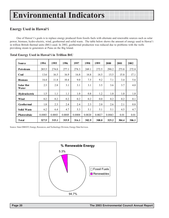## **Energy Used in Hawai'i**

One of Hawai'i's goals is to replace energy produced from fossils fuels with alternate and renewable sources such as solar power, biomass, hydro-electric, wind, geothermal and solid waste. The table below shows the amount of energy used in Hawai'i in trillion British thermal units (BtU) used. In 2002, geothermal production was reduced due to problems with the wells providong steam to generators at Puna on the Big Island.

| <b>Source</b>             | 1994   | 1995   | 1996   | 1997   | 1998   | 1999   | 2000   | 2001  | 2002  |
|---------------------------|--------|--------|--------|--------|--------|--------|--------|-------|-------|
| Petroleum                 | 285.5  | 274.0  | 277.1  | 278.3  | 269.1  | 272.5  | 290.2  | 273.8 | 272.8 |
| Coal                      | 13.6   | 16.5   | 16.9   | 16.8   | 14.8   | 14.5   | 15.5   | 15.8  | 17.1  |
| <b>Biomass</b>            | 16.4   | 11.8   | 10.4   | 9.0    | 7.5    | 9.2    | 7.1    | 3.4   | 5.6   |
| <b>Solar Hot</b><br>Water | 2.3    | 2.8    | 3.1    | 3.1    | 3.1    | 3.5    | 3.6    | 3.7   | 4.0   |
| Hydroelectric             | 1.5    | 1.1    | 1.1    | 1.0    | 0.8    | 1.2    | 1.0    | 1.0   | 1.0   |
| Wind                      | 0.2    | 0.2    | 0.2    | 0.2    | 0.2    | 0.0    | 0.2    | 0.2   | 0.1   |
| Geothermal                | 1.8    | 2.3    | 2.4    | 2.4    | 2.3    | 2.0    | 2.6    | 2.1   | 0.8   |
| <b>Solid Waste</b>        | 6.2    | 6.4    | 4.7    | 5.3    | 5.1    | 5.1    | 5.1    | 4.5   | 4.7   |
| Photovoltaic              | 0.0003 | 0.0003 | 0.0005 | 0.0008 | 0.0020 | 0.0027 | 0.0043 | 0.01  | 0.01  |
| <b>Total</b>              | 327.5  | 315.1  | 315.9  | 316.1  | 302.9  | 308.0  | 325.2  | 304.4 | 306.1 |

#### **Total Energy Used in Hawai'i in Trillion BtU**

Source: State DBEDT, Energy, Resources, and Technology Division, Energy Data Services.

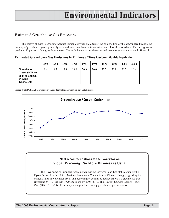### **Estimated Greenhouse Gas Emissions**

The earth's climate is changing because human activities are altering the composition of the atmosphere through the buildup of greenhouse gases, primarily carbon dioxide, methane, nitrous oxide, and chlorofluorocarbons. The energy sector produces 90 percent of the greenhouse gases. The table below shows the estimated greenhouse gas emissions in Hawai'i.

**Estimated Greenhouse Gas Emissions in Millions of Tons Carbon Dioxide Equivalent**

|                                                                                          | 1993 | 1994 | 1995 | 1996 | 1997 | 1998 | 1999 | 2000 | 2001 | 2002 |
|------------------------------------------------------------------------------------------|------|------|------|------|------|------|------|------|------|------|
| Greenhouse<br><b>Gasses (Millions</b><br>of Tons Carbon<br><b>Dioxode</b><br>Equivalent) | 18.6 | 19.7 | 19.8 | 20.6 | 20.3 | 20.6 | 20.7 | 20.8 | 20.3 | 20.4 |

Source: State DBEDT, Energy, Resources, and Technology Division, Energy Data Services.



### **2000 recommendations to the Governor on "Global Warming: No More Business as Usual"**

The Environmental Council recommends that the Governor and Legislature support the Kyoto Protocol to the United Nations Framework Convention on Climate Change, signed by the United States in November 1998, and accordingly, commit to reduce Hawai'i's greenhouse gas emissions by 7% less than 1990 emissions by 2008–2010. The *Hawai'i Climate Change Action Plan* (DBEDT, 1998) offers many strategies for reducing greenhouse gas emissions.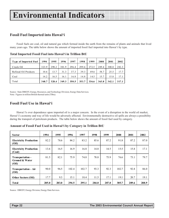## **Fossil Fuel Imported into Hawai'i**

Fossil fuels are coal, oil and natural gas which formed inside the earth from the remains of plants and animals that lived many years ago. The table below shows the amount of imported fossil fuel imported into Hawai'i by type.

| <b>Type of Imported Fuel</b> | 1994  | 1995  | 1996  | 1997  | 1 99 8 | 1999  | 2000  | 2001  | 2002  |
|------------------------------|-------|-------|-------|-------|--------|-------|-------|-------|-------|
| Crude Oil                    | 323.9 | 298.2 | 301.9 | 296.4 | 299.6  | 272.5 | 289.4 | 300.8 | 282.3 |
| Refined Oil Products         | 10.6  | 13.7  | 31.3  | 37.3  | 39.3   | 49.6  | 58.7  | 25.5  | 17.7  |
| Coal                         | 14.2  | 16.5  | 16.1  | 16.8  | 14.8   | 14.5  | 15.7  | 15.8  | 17.1  |
| Total                        | 348.7 | 328.4 | 349.3 | 350.5 | 353.7  | 336.6 | 363.8 | 342.1 | 317.1 |

**Total Imported Fossil Fuel into Hawai'i in Trillion BtU**

Source: State DBEDT, Energy, Resources, and Technology Division, Energy Data Services. Note: Figures in trillion British thermal units (TBtu).

### **Fossil Fuel Use in Hawai'i**

Hawai`i's over dependence upon imported oil is a major concern. In the event of a disruption in the world oil market, Hawai'i's economy and way of life would be adversely affected. Environmentally destructive oil spills are always a possibility during the transport of petroleum products. The table below shows the amount of fossil fuel used by category.

**Amount of Fossil Fuel Used in Hawai'i by Category in Trillion BtU**

| <b>Sector</b>                               | 1994  | 1995  | 1996  | 1997  | 1998  | 1999  | 2000  | 2001  | 2002  |
|---------------------------------------------|-------|-------|-------|-------|-------|-------|-------|-------|-------|
| <b>Electricity Production</b><br>(Oil)      | 82.2  | 78.6  | 84.2  | 83.2  | 85.6  | 87.2  | 91.8  | 87.2  | 87.0  |
| <b>Electricity Production</b><br>(Coal)     | 13.6  | 16.5  | 16.9  | 16.8  | 14.8  | 14.5  | 15.5  | 15.8  | 17.1  |
| Transportation -<br>Ground & Water<br>(Oil) | 81.5  | 82.1  | 75.9  | 74.0  | 78.8  | 75.9  | 76.6  | 73.1  | 79.7  |
| <b>Transportation - Air</b><br>(Oil)        | 90.0  | 96.5  | 102.4 | 102.7 | 93.3  | 92.3  | 102.7 | 92.8  | 86.0  |
| <b>Other Sectors (Oil)</b>                  | 17.7  | 9.3   | 15.1  | 18.4  | 11.5  | 17.1  | 19.1  | 20.7  | 19.1  |
| Total                                       | 285.0 | 283.0 | 294.5 | 295.1 | 284.0 | 287.0 | 305.7 | 289.6 | 288.9 |

Source: DBEDT, Energy Division, Energy Data Services.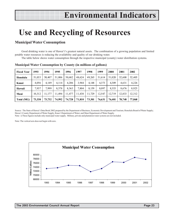## **Use and Recycling of Resources**

### **Municipal Water Consumption**

Good drinking water is one of Hawai'i's greatest natural assets. The combination of a growing population and limited potable water resources is reducing the availability and quality of our drinking water.

The table below shows water consumption through the respective municipal (county) water distribution systems.

| <b>Fiscal Year</b> | 1993   | 1994   | 1995   | 1996   | 1997   | 1998   | 1999   | 2000   | 2001   | 2002   |
|--------------------|--------|--------|--------|--------|--------|--------|--------|--------|--------|--------|
| Honolulu           | 51,033 | 50,407 | 51,006 | 50,682 | 48,624 | 49,265 | 51,614 | 51,020 | 52,608 | 52,405 |
| Kauai              | 4,056  | 4.149  | 4,114  | 4,206  | 3,944  | 4,148  | 4,373  | 4,309  | 4,631  | 4,226  |
| Hawaii             | 7,937  | 7.999  | 8,378  | 8,363  | 7,804  | 8,159  | 8,097  | 8,353  | 8,676  | 8,925  |
| Maui               | 10,312 | 11,177 | 11.494 | 11.477 | 11,438 | 11,729 | 12,547 | 12,719 | 12,833 | 12,312 |
| Total (MG)         | 73,338 | 73,732 | 74,992 | 74,728 | 71,810 | 73,301 | 76,631 | 76.401 | 78,748 | 77,868 |

**Municipal Water Consumption by County (in millions of gallons)**

Source: The State of Hawai'i Data Book 2002 prepared by the Department of Business, Economic Development and Tourism; Honolulu Board of Water Supply; Hawai`i County Department of Water Supply; Kaua'i Department of Water; and Maui Department of Water Supply. Note: i) These figures include only municipal water supply. Military, private and plantation water systems are not included.

Note: The vertical axis does not begin with zero.

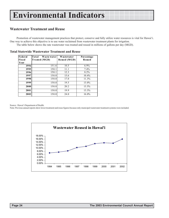### **Wastewater Treatment and Reuse**

Promotion of wastewater management practices that protect, conserve and fully utilize water resources is vital for Hawai'i. One way to achieve this objective is to use water reclaimed from wastewater treatment plants for irrigation. The table below shows the rate wastewater was treated and reused in millions of gallons per day (MGD).

| Federal<br>Fiscal<br>Year | Total<br>Waste water<br>Treated (MGD) | Wastewater<br>Reused (MGD) | Percentage<br>Reused |
|---------------------------|---------------------------------------|----------------------------|----------------------|
| 1994                      | 151.6                                 | 10.5                       | $6.9\%$              |
| 1995                      | 150.1                                 | 11.1                       | 7.4%                 |
| 1996                      | 150.1                                 | 12.3                       | 8.2%                 |
| 1997                      | 150.0                                 | 15.6                       | 10.4%                |
| 1998                      | 150.0                                 | 17.0                       | 11.3%                |
| 1999                      | 150.0                                 | 19.5                       | 13.0%                |
| 2000                      | 150.0                                 | 20.2                       | 13.5%                |
| 2001                      | 150.0                                 | 19.9                       | 13.3%                |
| 2002                      | 150.0                                 | 24.0                       | 16.0%                |

**Total Statewide Wastewater Treatment and Reuse**

Source: Hawai'i Department of Health.

Note: Previous annual reports show lower treatment and reuse figures because only municipal wastewater treatment systems were included.

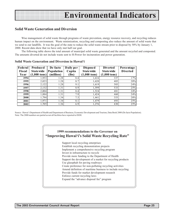### **Solid Waste Generation and Diversion**

Wise management of solid waste through programs of waste prevention, energy resource recovery, and recycling reduces human impact on the environment. Waste minimization, recycling and composting also reduce the amount of solid waste that we send to our landfills. It was the goal of the state to reduce the solid waste stream prior to disposal by 50% by January 1, 2000. Recent data show that we have only met half our goal.

The following table shows the total amount of municipal solid waste generated and the amount recycled and composted. The amounts diverted do not include waste sent to H-Power for incineration and power generation.

| <b>Federal</b><br><b>Fiscal</b><br>Year | Produced<br><b>State wide</b><br>$(1,000 \text{ tons})$ | De facto<br>Population<br>(million) | Daily per<br>Capita<br>(lbs) | <b>Disposed</b><br><b>Statewide</b><br>$(1,000 \text{ tons})$ | <b>Diverted</b><br><b>Statewide</b><br>$(1,000 \text{ tons})$ | Percentage<br><b>Diverted</b> |
|-----------------------------------------|---------------------------------------------------------|-------------------------------------|------------------------------|---------------------------------------------------------------|---------------------------------------------------------------|-------------------------------|
| 1994                                    | 1,953                                                   | 1.28                                | 8.4                          | 1,616                                                         | 337                                                           | 17%                           |
| 1995                                    | 2,023                                                   | 1.28                                | 8.7                          | 1,620                                                         | 403                                                           | 20%                           |
| 1996                                    | 2,122                                                   | 1.28                                | 9.1                          | 1,619                                                         | 503                                                           | 24%                           |
| 1997                                    | 2,132                                                   | 1.31                                | 8.9                          | 1,599                                                         | 533                                                           | 25%                           |
| 1998                                    | 2,004                                                   | 1.31                                | 8.4                          | 1,524                                                         | 481                                                           | 24%                           |
| 1999                                    | 1,884                                                   | 1.31                                | 7.9                          | 1,424                                                         | 460                                                           | 24%                           |
| 2000                                    | 1,794                                                   | 1.34                                | 7.3                          | 1,441                                                         | 353                                                           | 20%                           |
| 2001                                    | 1,971                                                   | 1.34                                | 8.1                          | 1,479                                                         | 493                                                           | 25%                           |
| 2002                                    | 1,705                                                   | 1.36                                | 6.9                          | 1,276                                                         | 430                                                           | 25%                           |

#### **Solid Waste Generation and Diversion in Hawai'i**

Source: Hawai'i Department of Health and Department of Business, Economic Development and Tourism, Data Book 2000 (De facto Population). Note: The 2000 numbers are partial as not all facilities have reported to DOH.

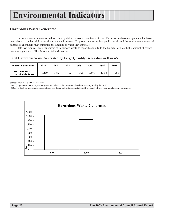## **Hazardous Waste Generated**

Hazardous wastes are classified as either ignitable, corrosive, reactive or toxic. These wastes have components that have been shown to be harmful to health and the environment. To protect worker safety, public health, and the environment, users of hazardous chemicals must minimize the amount of waste they generate.

State law requires large generators of hazardous waste to report biennially to the Director of Health the amount of hazardous waste generated. The following table shows the data.

**Total Hazardous Waste Generated by Large Quantity Generators in Hawai'i**

| <b>Federal Fiscal Year</b>                           | 1989  | 1991  | 1993 | 1995 | 1997 | 1999 | 2001 |
|------------------------------------------------------|-------|-------|------|------|------|------|------|
| <b>Hazardous Waste</b><br><b>Generated (in tons)</b> | .,499 | 1.343 | .702 | NA   | .669 | .456 | 781  |

Source: Hawai'i Department of Health.

Note: i) Figures do not match previous years' annual report data as the numbers have been adjusted by the DOH.

ii) Data for 1995 are not included because the data collected by the Department of Health includes both **large and small** quantity generators.

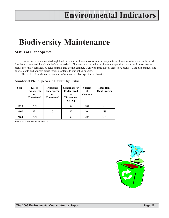## **Biodiversity Maintenance**

### **Status of Plant Species**

Hawai'i is the most isolated high land mass on Earth and most of our native plants are found nowhere else in the world. Species that reached the islands before the arrival of humans evolved with minimum competition. As a result, most native plants are easily damaged by feral animals and do not compete well with introduced, aggressive plants. Land use changes and exotic plants and animals cause major problems to our native species.

The table below shows the number of rare native plant species in Hawai'i.

| <b>Number of Plant Species in Hawai'i by Status</b> |  |
|-----------------------------------------------------|--|
|-----------------------------------------------------|--|

| Year | Listed<br><b>Endangered</b><br>0r<br><b>Threatened</b> | <b>Proposed</b><br><b>Endangered</b><br>0r<br>Threatened | <b>Candidate for</b><br><b>Endangered</b><br>0r<br><b>Threatened</b><br>Listing | <b>Species</b><br>of<br>Concern | <b>Total Rare</b><br><b>Plant Species</b> |
|------|--------------------------------------------------------|----------------------------------------------------------|---------------------------------------------------------------------------------|---------------------------------|-------------------------------------------|
| 1999 | 292                                                    | $\theta$                                                 | 92                                                                              | 204                             | 588                                       |
| 2000 | 292                                                    | 0                                                        | 92                                                                              | 204                             | 588                                       |
| 2001 | 292                                                    | 0                                                        | 92                                                                              | 204                             | 588                                       |

Source: U.S. Fish and Wildlife Service.

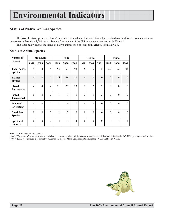## **Status of Native Animal Species**

The loss of native species in Hawai'i has been tremendous. Flora and fauna that evolved over millions of years have been devastated in less than 2,000 years. Twenty five percent of the U.S. endangered taxa occur in Hawai'i. The table below shows the status of native animal species (except invertebrates) in Hawai'i.

| Number of                             |                  | <b>Mammals</b>   |                |                | <b>Birds</b>   |                |                | <b>Turtles</b>   |                |          | <b>Fishes</b>    |          |  |
|---------------------------------------|------------------|------------------|----------------|----------------|----------------|----------------|----------------|------------------|----------------|----------|------------------|----------|--|
| Species                               | 1999             | 2000             | 2001           | 1999           | 2000           | 2001           | 1999           | 2000             | 2001           | 1999     | 2000             | 2001     |  |
| <b>Total Native</b><br><b>Species</b> | $\overline{4}$   | $\overline{4}$   | $\overline{4}$ | 93             | 93             | 93             | 5              | 5                | 5              | 22       | 22               | 22       |  |
| <b>Extinct</b><br><b>Species</b>      | $\boldsymbol{0}$ | $\mathbf{0}$     | $\theta$       | 26             | 26             | 26             | $\theta$       | $\mathbf{0}$     | $\theta$       | $\theta$ | $\boldsymbol{0}$ | $\theta$ |  |
| Listed<br><b>Endangered</b>           | 4                | $\overline{4}$   | 4              | 31             | 33             | 33             | $\overline{2}$ | $\overline{2}$   | $\overline{2}$ | $\theta$ | $\mathbf{0}$     | $\theta$ |  |
| Listed<br><b>Threatened</b>           | $\theta$         | $\boldsymbol{0}$ | $\theta$       | 1              | $\mathbf{1}$   | 1              | 3              | $\overline{3}$   | 3              | $\theta$ | $\boldsymbol{0}$ | $\theta$ |  |
| <b>Proposed</b><br>for Listing        | $\theta$         | $\theta$         | $\theta$       |                | $\theta$       | $\theta$       | $\Omega$       | $\boldsymbol{0}$ | $\theta$       | $\Omega$ | $\theta$         | $\theta$ |  |
| Candidate<br><b>Species</b>           | $\theta$         | $\theta$         | $\theta$       | $\overline{2}$ | $\overline{2}$ | $\overline{2}$ | $\Omega$       | $\boldsymbol{0}$ | $\theta$       | $\Omega$ | $\theta$         | $\Omega$ |  |
| Species of<br>Concern                 | $\theta$         | $\mathbf{0}$     | $\theta$       | $\overline{4}$ | 4              | $\overline{4}$ | $\theta$       | $\boldsymbol{0}$ | $\theta$       | $\theta$ | 1                | 1        |  |

#### **Status of Animal Species**

Source: U.S. Fish and Wildlife Service

Note: i) The status of Hawaiian invertebrates is hard to assess due to lack of information on abundance and distribution for described (5,500+ species) and undescribed (3,000 - 5,000 species) taxa. ii) Four native mammals include the Monk Seal, Hoary Bat, Humpback Whale and Sperm Whale.

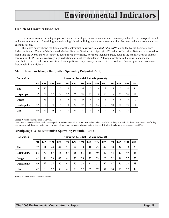### **Health of Hawai'i Fisheries**

Ocean resources are an integral part of Hawai'i's heritage. Aquatic resources are extremely valuable for ecological, social and economic reasons. Sustaining and enhancing Hawai'i's living aquatic resources and their habitats make environmental and economic sense.

The tables below shows the figures for the bottomfish *spawning potential ratio (SPR)* compiled by the Pacific Islands Fisheries Science Center of the National Marine Fisheries Service. Archipelagic SPR values of less than 20% are interpreted to mean that the overall stock is subject to recruitment overfishing. For more localized areas, such as the Main Hawaiian Islands, low values of SPR reflect realtively high reductions in localized abundance. Although localized reductions in abundance contribute to the overall stock condition, their significance is primarily measured in the context of sociological and economic factors within the fishery.

| <b>Bottomfish</b> |      | <b>Spawning Potential Ratio (in percent)</b> |      |        |      |      |      |              |                |      |      |                |      |      |
|-------------------|------|----------------------------------------------|------|--------|------|------|------|--------------|----------------|------|------|----------------|------|------|
|                   | 1988 | 1989                                         | 1990 | 1991   | 1992 | 1993 | 1994 | 1995         | 1996           | 1997 | 1998 | 1999           | 2000 | 2001 |
| Ehu               | 9    | 17                                           | 12   | $\tau$ | 4    | 5    | 6    | $\mathbf{r}$ | 3              | 8    | 4    | $\overline{ }$ | 4    | 11   |
| Hapu'upu'u        | 52   | 58                                           | 37   | 34     | 37   | 26   | 33   | 21           | 15             | 23   | 16   | 27             | 24   | 28   |
| Onaga             | 21   | 15                                           | 14   | 9      | 10   | 13   | 9    | 6            | $\overline{4}$ | 5    | 5    | 6              | 6    | 3    |
| Opakapaka         | 37   | 58                                           | 42   | 39     | 44   | 32   | 37   | 35           | 25             | 32   | 24   | 28             | 33   | 30   |
| Uku               | 64   | 55                                           | 30   | 26     | 28   | 46   | 37   | 40           | 35             | 29   | 29   | 47             | 33   | 27   |

#### **Main Hawaiian Islands Bottomfish Spawning Potential Ratio**

Source: National Marine Fisheries Service.

Note: SPR is calculated from catch size composition and commercial catch rate. SPR values of less than 20% are thought to be indicative of recruitment overfishing, the point at which there may be too few spawning fish remaining to maintain the population. Target SPR values for ehu and onaga recovery are 20%.

| <b>Bottomfish</b> |      | <b>Spawning Potential Ratio (in percent)</b> |      |      |      |      |      |      |      |      |      |      |      |      |
|-------------------|------|----------------------------------------------|------|------|------|------|------|------|------|------|------|------|------|------|
|                   | 1988 | 1989                                         | 1990 | 1991 | 1992 | 1993 | 1994 | 1995 | 1996 | 1997 | 1998 | 1999 | 2000 | 2001 |
| Ehu               | 37   | 51                                           | 44   | 44   | 51   | 54   | 38   | 41   | 43   | 42   | 38   | 37   | 39   | 39   |
| Hapu'upu'u        | 56   | 70                                           | 57   | 58   | 67   | 65   | 51   | 48   | 49   | 49   | 44   | 47   | 49   | 48   |
| Onaga             | 42   | 38                                           | 36   | 42   | 41   | 53   | 39   | 33   | 39   | 25   | 22   | 34   | 27   | 25   |
| Opakapaka         | 49   | 69                                           | 57   | 57   | 68   | 67   | 53   | 54   | 52   | 52   | 47   | 46   | 52   | 48   |
| Uku               | 62   | 68                                           | 52   | 53   | 61   | 73   | 52   | 56   | 57   | 51   | 50   | 55   | 52   | 49   |

#### **Archipelago-Wide Bottomfish Spawning Potential Ratio**

Source: National Marine Fisheries Service.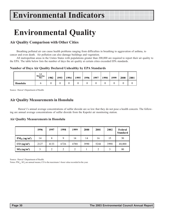## **Environmental Quality**

## **Air Quality Comparison with Other Cities**

Breathing polluted air can cause health problems ranging from difficulties in breathing to aggravation of asthma, to cancer and even death. Air pollution can also damage buildings and vegetation.

All metropolitan areas in the Unites States with populations greater than 200,000 are required to report their air quality to the EPA. The table below lists the number of days the air quality at certain cities exceeded EPA standards.

#### **Number of Days Air Quality Declared Unhealthy by EPA Standards**

|          | # of<br>Momittorium gr<br><b>Sittes</b> | 1982 | 1993 | 1994 | 1995 | 1996 | 1997 | 1998 | 1999 | 2000 | 2001 |
|----------|-----------------------------------------|------|------|------|------|------|------|------|------|------|------|
| Honolulu |                                         |      |      |      |      |      |      |      |      |      |      |

Source: Hawai'i Department of Health.

### **Air Quality Measurements in Honolulu**

 Hawai'i's annual average concentrations of sulfur dioxide are so low that they do not pose a health concern. The following are annual average concentrations of sulfur dioxide from the Kapolei air monitoring station.

#### **Air Quality Measurements in Honolulu**

|                                      | 1996 | 1997 | 1998 | 1999          | 2000 | 2001 | 2002 | Federal<br><b>Standard</b> |
|--------------------------------------|------|------|------|---------------|------|------|------|----------------------------|
| $PM_{10} (ug/m^3)$                   | 14   | 8    | 9    | 14            | 14   | 16   | 15   | 50                         |
| $CO$ (ug/m <sup>3</sup> )            | 2127 | 4133 | 6726 | 4788          | 3990 | 5244 | 3990 | 40,000                     |
| SO <sub>2</sub> (ug/m <sup>3</sup> ) |      | 2    | 2    | $\mathcal{D}$ |      | っ    |      | 80                         |

Source: Hawai'i Department of Health.

Notes:  $PM_{10}$ ,  $SO_2$  are annual means; CO is the maximum 1-hour value recorded in the year.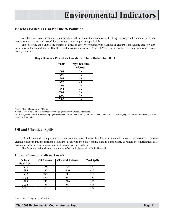### **Beaches Posted as Unsafe Due to Pollution**

Residents and visitors use our public beaches and the ocean for recreation and fishing. Sewage and chemical spills can restrict our enjoyment and use of the shoreline as well as poison aquatic life.

The following table shows the number of times beaches were posted with warning or closure signs (unsafe due to water pollution) by the Department of Health. Beach closures increased 50% in 1999 largely due to the DOH requiring more precautionary closures.

| Year | Days beaches |
|------|--------------|
|      | closed       |
| 1994 | 20           |
| 1995 | 16           |
| 1996 | 45           |
| 1997 | 28           |
| 1998 | 13           |
| 1999 | 26           |
| 2000 | 16           |
| 2001 | 20           |
| 2002 | 36           |

#### **Days Beaches Posted as Unsafe Due to Pollution by DOH**

Source: Hawaii Department of Health.

Note: i) There were additional postings of warning signs on streams, lakes, and harbors.

ii) Other agencies may also post warning signs on beaches. For example, the City and County of Honolulu also posts warning signs on beaches after opening stream mouths to drain water.

### **Oil and Chemical Spills**

Oil and chemical spills pollute our ocean, streams, groundwater. In addition to the environmental and ecological damage, cleanup costs run into the millions of dollars. Even with the best response plan, it is impossible to restore the environment to its original condition. Spill prevention must be our primary strategy.

The following table shows the number of oil and chemical spills in Hawai'i.

#### **Oil and Chemical Spills in Hawai'i**

| Federal            | <b>Oil Releases</b> | <b>Chemical Releases</b> | <b>Total Spills</b> |
|--------------------|---------------------|--------------------------|---------------------|
| <b>Fiscal Year</b> |                     |                          |                     |
| 1995               | 126                 | 222                      | 348                 |
| 1996               | 237                 | 230                      | 467                 |
| 1997               | 295                 | 205                      | 500                 |
| 1998               | 225                 | 305                      | 530                 |
| 1999               | 240                 | 286                      | 526                 |
| 2000               | 163                 | 303                      | 466                 |
| 2001               | 171                 | 271                      | 442                 |

Source: Hawai'i Department of Health.

**The 2003 Environmental Council Annual Report Page 31**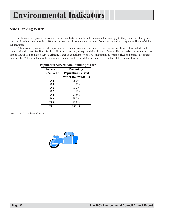### **Safe Drinking Water**

Fresh water is a precious resource. Pesticides, fertilizers, oils and chemicals that we apply to the ground eventually seep into our drinking water aquifers. We must protect our drinking water supplies from contamination, or spend millions of dollars for treatment.

 Public water systems provide piped water for human consumption such as drinking and washing. They include both municipal and private facilities for the collection, treatment, storage and distribution of water. The next table shows the percentage of Hawai'i's population served drinking water in compliance with 1994 maximum microbiological and chemical contaminant levels. Water which exceeds maximum contaminant levels (MCLs) is believed to be harmful to human health.

| $\alpha$ opulation SCI vcu Salc DT inking $\alpha$ |                                                                   |  |  |  |  |  |  |
|----------------------------------------------------|-------------------------------------------------------------------|--|--|--|--|--|--|
| Federal<br><b>Fiscal Year</b>                      | Percentage<br><b>Population Served</b><br><b>Water Below MCLs</b> |  |  |  |  |  |  |
| 1994                                               | 95.0%                                                             |  |  |  |  |  |  |
| 1995                                               | 98.0%                                                             |  |  |  |  |  |  |
| 1996                                               | 99.5%                                                             |  |  |  |  |  |  |
| 1997                                               | 98.2%                                                             |  |  |  |  |  |  |
| 1998                                               | 99.8%                                                             |  |  |  |  |  |  |
| 1999                                               | 99.7%                                                             |  |  |  |  |  |  |
| 2000                                               | 98.8%                                                             |  |  |  |  |  |  |
| 2001                                               | 100.0%                                                            |  |  |  |  |  |  |

#### **Population Served Safe Drinking Water**

Source: Hawai'i Department of Health.

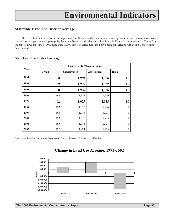### **Statewide Land Use District Acreage**

There are four land use districts designations for all lands in the state: urban, rural, agricultural, and conservation. With the decline of sugar cane and pineapple, there may be less productive agricultural land in Hawai'i than previously. The following table shows that since 1990, more than 30,000 acres of agricultural land have been converted to Urban and Conservation designations.

|      |              | <b>Land Area in Thousand Acres</b> |                     |              |  |  |  |  |  |  |  |
|------|--------------|------------------------------------|---------------------|--------------|--|--|--|--|--|--|--|
| Year | <b>Urban</b> | Conservation                       | <b>Agricultural</b> | <b>Rural</b> |  |  |  |  |  |  |  |
| 1993 | 188          | 1,959                              | 1,956               | 10           |  |  |  |  |  |  |  |
| 1994 | 189          | 1,975                              | 1,939               | 10           |  |  |  |  |  |  |  |
| 1995 | 190          | 1,976                              | 1,936               | 10           |  |  |  |  |  |  |  |
| 1996 | 192          | 1,975                              | 1,936               | 10           |  |  |  |  |  |  |  |
| 1997 | 192          | 1,975                              | 1,935               | 10           |  |  |  |  |  |  |  |
| 1998 | 193          | 1,975                              | 1,934               | 10           |  |  |  |  |  |  |  |
| 1999 | 195          | 1,975                              | 1,933               | 10           |  |  |  |  |  |  |  |
| 2000 | 193          | 1,976                              | 1,933               | 10           |  |  |  |  |  |  |  |
| 2001 | 195          | 1,974                              | 1,934               | 10           |  |  |  |  |  |  |  |
| 2002 | 195          | 1,974                              | 1,933               | 10           |  |  |  |  |  |  |  |

#### **State Land Use District Acreage**

Source: State Land Use Commission, Department of Business, Economic Development and Tourism.

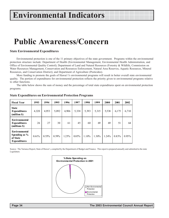## **Public Awareness/Concern**

#### **State Environmental Expenditures**

Environmental protection is one of the 11 primary objectives of the state government. Programs within the environmental protection structure include: Department of Health (Environmental Management, Environmental Health Administration, and Office of Environmental Quality Control); Department of Land and Natural Resources (Forestry & Wildlife, Commission on Water Resources Management, Conservation and Resources Enforcement, Natural Area Reserves, Aquatic Resources, Mineral Resources, and Conservation District); and Department of Agriculture (Pesticides).

More funding to promote the goals of Hawai`i's environmental programs will result in better overall state environmental quality. The portion of expenditures for environmental protection reflects the priority given to environmental programs relative to other functions.

The table below shows the sum of money and the percentage of total state expenditures spent on environmental protection programs.

| <b>Fiscal Year</b>                                                       | 1993  | 1994     | 1995  | 1996  | 1997  | 1998     | 1999  | 2000  | 2001  | 2002     |
|--------------------------------------------------------------------------|-------|----------|-------|-------|-------|----------|-------|-------|-------|----------|
| <b>State</b><br><b>Expenditures</b><br>(million \$)                      | 4,320 | 4,953    | 5,092 | 4,906 | 5,338 | 5,393    | 5,315 | 5,538 | 6,175 | 6,710    |
| Environmental<br><b>Expenditures</b><br>(millions \$)                    | 26    | 27       | 30    | 61    | 45    | 60       | 69    | 69    | 51    | 64       |
| <b>Environmental</b><br>Spending as %<br>of State<br><b>Expenditures</b> | 0.61% | $0.55\%$ | 0.59% | 1.25% | 0.85% | $1.10\%$ | 1.30% | 1.24% | 0.83% | $0.95\%$ |

#### **State Expenditures on Environmental Protection Programs**

Source: The Variance Report, State of Hawai'i, compiled by the Department of Budget and Finance. This report is prepared annually and submitted to the state Legislature.

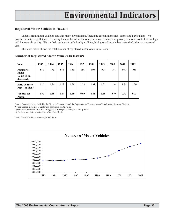#### **Registered Motor Vehicles in Hawai'i**

Exhaust from motor vehicles contains many air pollutants, including carbon monoxide, ozone and particulates. We breathe these toxic pollutants. Reducing the number of motor vehicles on our roads and improving emission control technology will improve air quality. We can help reduce air pollution by walking, biking or taking the bus instead of riding gas-powered cars.

The table below shows the total number of registered motor vehicles in Hawai'i.

| Year                                                    | 1993 | 1994 | 1995 | 1996 | 1997 | 1998 | 1999 | 2000 | 2001 | 2002 |
|---------------------------------------------------------|------|------|------|------|------|------|------|------|------|------|
| Number of<br><b>Motor</b><br>Vehicles (in<br>thousands) | 880  | 875  | 878  | 885  | 884  | 893  | 907  | 941  | 967  | 988  |
| State de facto<br>Pop. (million)                        | 1.26 | 1.26 | 1.28 | 1.28 | 1.28 | 1.31 | 1.31 | 1.34 | 1.34 | 1.36 |
| Vehicles per<br>Person                                  | 0.70 | 0.69 | 0.69 | 0.69 | 0.69 | 0.68 | 0.69 | 0.70 | 0.72 | 0.73 |

#### **Number of Registered Motor Vehicles In Hawai'i**

Source: Statewide data provided by the City and County of Honolulu, Department of Finance, Motor Vehicles and Licensing Division.

Note: i) Carbon monoxide is a colorless, odorless and tasteless gas.

ii) Ozone is a poisonous form of pure oxygen. It is pungent smelling and faintly bluish.

iii) De facto population obtained from State Data Book.

Note: The vertical axis does not begin with zero.

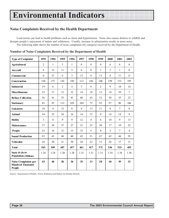## **Noise Complaints Received by the Health Department**

Loud noises can lead to health problems such as stress and hypertension. Noise also causes distress to wildlife and disrupts people's enjoyment of nature and wilderness. Usually, increase in urbanization results in more noise. The following table shows the number of noise complaints (by category) received by the Department of Health.

| <b>Type of Complaint</b>                                         | 1993             | 1994           | 1995           | 1996           | 1997           | 1998             | 1999           | 2000           | 2001           | 2002             |
|------------------------------------------------------------------|------------------|----------------|----------------|----------------|----------------|------------------|----------------|----------------|----------------|------------------|
| <b>Agricultural</b>                                              | $\overline{2}$   | 1              | $\overline{3}$ | $\mathbf{1}$   | $\theta$       | $\theta$         | $\theta$       | 6              | 8              | $\theta$         |
| Aircraft                                                         | 9                | 12             | 11             | 5              | 6              | $\boldsymbol{0}$ | $\mathbf{1}$   | 3              | 1              | $\boldsymbol{0}$ |
| Commercial                                                       | $\boldsymbol{0}$ | 21             | 6              | $\overline{3}$ | 13             | $\overline{4}$   | 13             | 8              | 11             | 11               |
| <b>Construction</b>                                              | 164              | 157            | 142            | 140            | 112            | 146              | 106            | 250            | 231            | 193              |
| Industrial                                                       | 19               | 6              | $\overline{2}$ | $\overline{3}$ | $\overline{7}$ | 9                | $\overline{2}$ | 9              | 14             | 14               |
| <b>Miscellaneous</b>                                             | 22               | 17             | 12             | 12             | 14             | 18               | 12             | 14             | 10             | $\overline{7}$   |
| <b>Refuse Collection</b>                                         | 36               | 41             | 35             | 41             | 68             | 43               | 33             | 30             | 35             | 23               |
| <b>Stationary</b>                                                | 85               | 93             | 112            | 109            | 104            | 75               | 93             | 97             | 96             | 106              |
| <b>Unknown</b>                                                   | 10               | $\overline{4}$ | 13             | 8              | 8              | 13               | 11             | 8              | $\overline{7}$ | 8                |
| Animal                                                           | 34               | 22             | 24             | 16             | 14             | 12               | 8              | 14             | 14             | 8                |
| <b>Hobby</b>                                                     | $\overline{3}$   | 8              | 9              | 9              | 12             | $\overline{4}$   | 6              | 10             | 9              | 13               |
| <b>Maintenance</b>                                               | 37               | 29             | 37             | 27             | 21             | 25               | 20             | 17             | 19             | 22               |
| People                                                           | 23               | 16             | 12             | 13             | 13             | 5                | 8              | $\overline{2}$ | $\tau$         | $\overline{4}$   |
| <b>Sound Production</b>                                          | 93               | 62             | 48             | 40             | 45             | 51               | 47             | 42             | 44             | 35               |
| Vehicular                                                        | 26               | 20             | 21             | 30             | 24             | 22               | 12             | 26             | 17             | 11               |
| <b>Total</b>                                                     | 563              | 509            | 487            | 457            | 461            | 427              | 372            | 536            | 523            | 455              |
| State de facto<br><b>Population (Million)</b>                    | 1.26             | 1.28           | 1.28           | 1.28           | 1.31           | 1.31             | 1.31           | 1.34           | 1.34           | 1.36             |
| <b>Noise Complaints per</b><br><b>Hundred Thousand</b><br>People | 45               | 40             | 38             | 36             | 35             | 33               | 28             | 40             | 39             | 33               |

#### **Number of Noise Complaints Received by the Department of Health**

Source: Department of Health - Noise, Radiation and Indoor Air Quality Branch.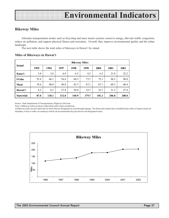### **Bikeway Miles**

Alternate transportation modes such as bicycling and mass transit systems conserve energy, alleviate traffic congestion, reduce air pollution, and support physical fitness and recreation. Overall, they improve environmental quality and the urban landscape.

The next table shows the total miles of bikeways in Hawai'i by island.

#### **Miles of Bikeways in Hawai'i**

| <b>Island</b>    | <b>Bikeway Miles</b> |       |       |       |       |       |       |       |  |  |
|------------------|----------------------|-------|-------|-------|-------|-------|-------|-------|--|--|
|                  | 1995                 | 1996  | 1997  | 1998  | 1999  | 2000  | 2001  | 2002  |  |  |
| Kaua'i           | 3.8                  | 3.8   | 6.8   | 6.5   | 6.2   | 6.2   | 21.0  | 22.2  |  |  |
| $O4$ ahu         | 55.4                 | 66.1  | 56.6  | 60.3  | 73.7  | 75.1  | 94.2  | 98.0  |  |  |
| Maui             | 19.6                 | 40.0  | 40.8  | 43.3  | 67.1  | 67.1  | 60.3  | 60.4  |  |  |
| Hawai'i          | 8.2                  | 8.2   | 27.8  | 30.8  | 32.7  | 32.7  | 31.3  | 27.4  |  |  |
| <b>Statewide</b> | 87.0                 | 118.1 | 132.0 | 140.9 | 179.7 | 181.1 | 206.8 | 208.0 |  |  |

Source: State Department of Transportation, Highways Division

Note: i) Bikeway miles are those within State and County jurisdiction.

ii) Bikeway miles are provided only for those that are designated as such through signage. The State and counties have installed many miles of improved paved shoulders, 4 feet or wider, on roadways which can accommodate bicycles but are not designated routes.

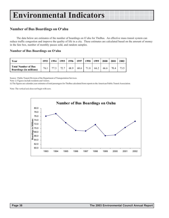### **Number of Bus Boardings on O'ahu**

The data below are estimates of the number of boardings on O`ahu for TheBus. An effective mass transit system can reduce traffic congestion and improve the quality of life in a city. These estimates are calculated based on the amount of money in the fare box, number of monthly passes sold, and random samples.

#### **Number of Bus Boardings on O'ahu**

| Year                                                         | 1993 | 1994 | 1995 | 1996 | 1997 | 1998 | 1999 | 2000 | 2001 | 2002 |
|--------------------------------------------------------------|------|------|------|------|------|------|------|------|------|------|
| <b>Total Number of Bus</b><br><b>Boardings (in millions)</b> | 76.1 |      | 72.7 | 68.9 | 68.6 | 71.8 | 66.2 | 66.6 | 70.4 | 73.5 |

Source: Public Transit Division of the Department of Transportation Services. Note: i) Figures include residents and visitors.

ii) The figures are calendar year estimates of total passengers for TheBus calculated from reports to the American Public Transit Association.

Note: The vertical axis does not begin with zero.

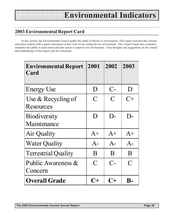## **2003 Environmental Report Card**

In this section, the Environmental Council grades the status of Hawai'i's environment. This report card provides citizens and policy makers with a quick assessment of how well we are caring for our environment. The Council hopes this evaluation stimulates the public to learn about and take action to improve our environment. Your thoughts and suggestions on the content and methodology of this report card are welcomed.

| <b>Environmental Report</b><br>Card | 2001           | 2002           | 2003           |
|-------------------------------------|----------------|----------------|----------------|
|                                     |                |                |                |
| <b>Energy Use</b>                   | D              | $C-$           | D              |
| Use & Recycling of                  | $\overline{C}$ | $\overline{C}$ | $C+$           |
| Resources                           |                |                |                |
| <b>Biodiversity</b>                 | D              | $D-$           | $\mathbf{D}$   |
| Maintenance                         |                |                |                |
| Air Quality                         | $A+$           | $A+$           | $A+$           |
| <b>Water Quality</b>                | $A-$           | $A-$           | $A-$           |
| <b>Terrestrial Quality</b>          | B              | B              | B              |
| Public Awareness &                  | $\overline{C}$ | $C-$           | $\overline{C}$ |
| Concern                             |                |                |                |
| <b>Overall Grade</b>                |                |                |                |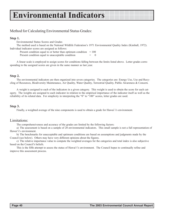## Method for Calculating Environmental Status Grades:

#### **Step 1.**

Environmental Status Scores and Grades

The method used is based on the National Wildlife Federation's 1971 Environmental Quality Index (Kimball, 1972). Individual indicator scores are assigned as follows:

Present condition equal to or better than optimum condition  $= 100$ 

Present condition equal to unacceptable condition

A linear scale is employed to assign scores for conditions falling between the limits listed above. Letter grades corresponding to the assigned scores are given in the same manner as last year.

#### **Step 2.**

The environmental indicators are then organized into seven categories. The categories are: Energy Use, Use and Recycling of Resources, Biodiversity Maintenance, Air Quality, Water Quality, Terrestrial Quality, Public Awareness & Concern.

A weight is assigned to each of the indicators in a given category. This weight is used to obtain the score for each category. The weights are assigned to each indicator in relation to the empirical importance of the indicator itself as well as the reliability of its related data. For simplicity in interpreting the "0" to "100" scores, letter grades are used.

#### **Step 3.**

Finally, a weighted average of the nine components is used to obtain a grade for Hawai`i's environment.

#### Limitations:

The comprehensiveness and accuracy of the grades are limited by the following factors:

a) The assessment is based on a sample of 20 environmental indicators. This small sample is not a full representation of Hawai'i's environment.

b) The benchmarks for unacceptable and optimum conditions are based on assumptions and judgments made by the Council (see below). Others may have very different opinions about the figures.

c) The relative importance value to compute the weighted averages for the categories and total index is also subjective based on the Council's beliefs.

This is the fifth attempt to assess the status of Hawai'i's environment. The Council hopes to continually refine and improve this assessment process.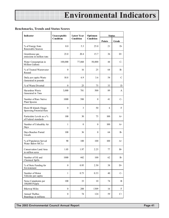#### **Benchmarks, Trends and Status Scores**

| Indicator                                         | Unacceptable     | <b>Latest Year</b> | Optimum        | <b>Status</b> |           |  |
|---------------------------------------------------|------------------|--------------------|----------------|---------------|-----------|--|
|                                                   | Condition        | Condition          | Condition      | <b>Points</b> | Grade     |  |
| % of Energy from<br>Renewable Sources             | 0.0              | 5.3                | 25.0           | 21            | $D-$      |  |
| Greenhouse gas<br>emissions in million tons       | 23.0             | 20.4               | 15.7           | 36            | $D+$      |  |
| Water Consumption in<br>Million Gallons           | 100,000          | 77,868             | 50,000         | 44            | $C-$      |  |
| % of Treated Wastewater<br>Reused                 | $\Omega$         | 16                 | 25             | 64            | <b>B-</b> |  |
| Daily per capita Waste<br>Generated in pounds     | 10.8             | 6.9                | 3.6            | 54            | C         |  |
| % of Waste Diverted                               | $\boldsymbol{0}$ | 25                 | 75             | 33            | D         |  |
| Hazardous Waste<br>Generated in Tons              | 3,000            | 781                | 500            | 89            | A         |  |
| Number of Rare Native<br>Plant Species            | 1000             | 588                | $\mathbf{0}$   | 41            | $C-$      |  |
| Main HI Islands Onaga<br>Spawning Potential Rate  | $\overline{0}$   | 3                  | 50             | 6             | F         |  |
| Particulate Levels as a %<br>of Federal standards | 100              | 30                 | 75             | 100           | $A+$      |  |
| Number of Unhealthy Air<br>Days                   | 1                | 0                  | $\overline{0}$ | 100           | $A+$      |  |
| Days Beaches Posted<br>Unsafe                     | 100              | 36                 | $\mathbf{0}$   | 64            | <b>B-</b> |  |
| % of Population Served<br>Water Below MCLs        | 90               | 100                | 100            | 100           | $A+$      |  |
| Conservation Land Area<br>in million acres        | 1.03             | 1.97               | 2.25           | 77            | $B+$      |  |
| Number of Oil and<br>Chemical Spills              | 1000             | 442                | 100            | 62            | $B-$      |  |
| % of State Funding for<br>Environment             | $\boldsymbol{0}$ | 0.95               | 2.50           | 38            | $D+$      |  |
| Number of Motor<br>Vehicles per capita            | $\mathbf{1}$     | 0.73               | 0.33           | 40            | $C-$      |  |
| Noise Complaints per<br>100,000 People            | 100              | 33                 | 10             | 74            | B         |  |
| <b>Bikeway Miles</b>                              | $\boldsymbol{0}$ | 208                | 1309           | 16            | F         |  |
| Annual TheBus<br>Boardings in millions            | $\overline{0}$   | 74                 | 124            | 59            | $C+$      |  |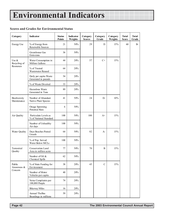### **Scores and Grades for Environmental Status**

| Category                           | Indicator                                       | <b>Status</b><br><b>Points</b> | <b>Indicator</b><br>Weights | Category<br><b>Scores</b> | Category<br>Grade | Category<br>Weights | <b>Total</b><br><b>Score</b> | <b>Total</b><br>Grade |
|------------------------------------|-------------------------------------------------|--------------------------------|-----------------------------|---------------------------|-------------------|---------------------|------------------------------|-----------------------|
| <b>Energy Use</b>                  | % of Energy from<br>Renewable Sources           | 21                             | 50%                         | 29                        | D                 | 15%                 | 60                           | <b>B</b> -            |
|                                    | Greenhouse Gas<br>Emissions                     | 36                             | 50%                         |                           |                   |                     |                              |                       |
| Use $\&$<br>Recycling of           | Water Consumption in<br>Million Gallons         | 44                             | 20%                         | 57                        | $C+$              | 15%                 |                              |                       |
| Resources                          | % of Treated<br>Wastewater Reused               | 64                             | 20%                         |                           |                   |                     |                              |                       |
|                                    | Daily per capita Waste<br>Generated in pounds   | 54                             | 20%                         |                           |                   |                     |                              |                       |
|                                    | % of Waste Diverted                             | 33                             | 20%                         |                           |                   |                     |                              |                       |
|                                    | Hazardous Waste<br>Generated in Tons            | 89                             | 20%                         |                           |                   |                     |                              |                       |
| <b>Biodiversity</b><br>Maintenance | Number of Abundant<br>Native Plant Species      | 41                             | 50%                         | 24                        | $D-$              | 10%                 |                              |                       |
|                                    | Onaga Spawning<br>Potential Rate                | 6                              | 50%                         |                           |                   |                     |                              |                       |
| Air Quality                        | Particulate Levels as<br>% of National Standard | 100                            | 50%                         | 100                       | $A+$              | 15%                 |                              |                       |
|                                    | Number of Unhealthy<br>Air days                 | 100                            | 50%                         |                           |                   |                     |                              |                       |
| Water Quality                      | Days Beaches Posted<br>Unsafe                   | 64                             | 50%                         | 82                        | $A-$              | 15%                 |                              |                       |
|                                    | % of Pop. Served<br>Water Below MCLs            | 100                            | 50%                         |                           |                   |                     |                              |                       |
| Terrestrial<br>Quality             | Conservation Land<br>Area in million acres      | 77                             | 50%                         | 70                        | B                 | 15%                 |                              |                       |
|                                    | Number of Oil &<br>Chemical Spills              | 62                             | 50%                         |                           |                   |                     |                              |                       |
| Public<br>Awareness &              | % of State Funding for<br>Environment           | 38                             | 20%                         | 45                        | $\mathcal{C}$     | 15%                 |                              |                       |
| Concern                            | Number of Motor<br>Vehicles per capita          | 40                             | 20%                         |                           |                   |                     |                              |                       |
|                                    | Noise Complaints per<br>100,000 People          | 74                             | 20%                         |                           |                   |                     |                              |                       |
|                                    | <b>Bikeway Miles</b>                            | 16                             | 20%                         |                           |                   |                     |                              |                       |
|                                    | Annual TheBus<br>Boardings in millions          | 59                             | 20%                         |                           |                   |                     |                              |                       |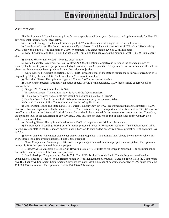#### Assumptions:

The Environmental Council's assumptions for unacceptable conditions, year 2002 goals, and optimum levels for Hawai'i's environmental indicators are listed below.

a) Renewable Energy: The Council prefers a goal of 25% for the amount of energy from renewable sources.

b) Greenhouse Gasses: The Council supports the Kyoto Protocol which calls for emissions of 7% below 1990 levels by 2010. This works out to 5.7 million tons by 2010 for optimum. The unacceptable level is 23 million tons.

c) Water Consumption: The Council has set 50,000 million gallons per year as the optimum level. 100,000 is unacceptable.

d) Treated Wastewater Reused: The reuse target is 25%.

e) Waste Generated: According to Healthy Hawai'i 2000, the national objective is to reduce the average pounds of municipal solid waste produced per person each day to no more than 3.6 pounds. The optimum level is the same as the national objective. It is unacceptable to produce 3 times the national objective.

f) Waste Diverted: Pursuant to section 342G-3, HRS, it was the goal of the state to reduce the solid waste stream prior to disposal by 50% by the year 2000. The Council sets 75 as an optimum level.

g) Hazardous Waste: The optimum target is 500 tons. 3,000 tons is unacceptable.

h) Native Plant Species: Optimally, all native species should be in abundance. 1,000 species listed as rare would be unacceptable.

i) Onaga SPR: The optimum level is 50%.

j) Particulate Levels: The optimum level is 75% of the federal standard.

k) Unhealthy Air Days: Not a single day should be declared unhealthy in Hawai'i.

l) Beaches Posted Unsafe: A level of 100 beach closure days per year is unacceptable.

m)Oil and Chemical Spills: The optimum number is 100 spills or less.

n) Conservation Land: The State Land Use District Boundary Review, 1992, recommended that approximately 150,000 acres of Urban and Agricultural lands be converted to Conservation zoning. The report also identifies another 139,000 acres of non-Conservation land as "Areas of Critical Concern" that should be protected for its conservation resource value. Therefore, the optimum level is the conversion of 289,000 acres. Any less amount than one fourth of state lands in the Conservation district is unacceptable.

o) Drinking Water: The optimum level to have 100% of the population drinking clean water.

p) Environmental Spending: Based on information presented in World Resources Institute's 1992 Environmental Almanac the average state in the U.S. spends approximately 1.9% of its state budget on environmental protection. The optimum level is 2.5%.

q) Motor Vehicles: One motor vehicle per person is unacceptable. The optimum level should be one motor vehicle for every three people (the average household size is three people).

r) Noise Complaints: An average of 100 noise complaints per hundred thousand people is unacceptable. The optimum number is 10 or less per hundred thousand people.

s) Bikeway Miles: According to Bike Plan Hawai'i a total of 1,309 miles of bikeways is proposed. The optimum condition is the construction of all the bikeways proposed.

t) Bus Ridership: The present bus fleet is 525. The FEIS for the Honolulu Rapid Transit Program considered an expanded bus fleet of 997 buses for the Transportation System Management alternative. Based on Table 1.1 in the Comprehensive Bus Facility & Equipment Requirements Study, we estimate that the number of boardings for a fleet of 997 buses would be 124,000,000 per annum. The optimum level is 124,000,000 boardings.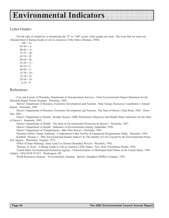### Letter Grades:

For the sake of simplicity in interpreting the "0" to "100" scores, letter grades are used. The scale that we used was obtained from A Rating Guide to Life in America's Fifty States (Thomas, 1994).

 $100 = A +$  $85-99 = A$  $80-84 = A$  $75-79 = B+$  $65-74 = B$  $60-64 = B$  $55-59 = C+$  $45-54 = C$  $40-44 = C$  $35-39 = D+$  $25-34 = D$  $20-24 = D$  $0-19 = F$ 

### References:

City and County of Honolulu, Department of Transportation Services. Final Environmental Impact Statement for the Honolulu Rapid Transit Program. Honolulu, 1992.

Hawai'i Department of Business, Economic Development and Tourism. State Energy Resources Coordinator's Annual Report. Honolulu, 1994.

Hawai'i Department of Business, Economic Development and Tourism. The State of Hawai`i Data Book, 2002. Honolulu, 2001.

Hawai'i Department of Health. Healthy Hawai'i 2000: Preliminary Objectives and Health Status Indicators for the State of Hawai'i. Honolulu, 1995.

Hawai'i Department of Health. The State of Environmental Protection In Hawai'i. Honolulu, 1997.

Hawai'i Department of Health. Indicators of Environmental Quality, September 1999.

Hawai'i Department of Transportation. Bike Plan Hawai'i. Honolulu, 1994.

Honolulu Public Transit Authority. Comprehensive Bus Facility & Equipment Requirements Study. Honolulu, 1994.

Kimball, Thomas L. Why Environmental Quality Indices? In The Quality of Life Concept by the Environmental Protection Agency. Warrenton, Virginia, 1972.

Office of State Planning. State Land Use District Boundary Review. Honolulu, 1992.

Thomas, G. Scott. A Rating Guide to Life in America's Fifty States. New York: Prometheus Books, 1994.

United States Environmental Protection Agency. Characterization of Municipal Solid Waste in the United States: 1996 Update. EPA530-R-97-015. Washington, DC.

World Resources Institute. Environmental Almanac. Boston: Houghton Mifflin Company, 1992.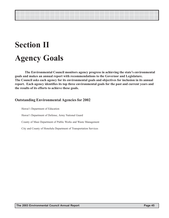## **Section II Agency Goals**

**The Environmental Council monitors agency progress in achieving the state's environmental goals and makes an annual report with recommendations to the Governor and Legislature. The Council asks each agency for its environmental goals and objectives for inclusion in its annual report. Each agency identifies its top three environmental goals for the past and current years and the results of its efforts to achieve these goals.**

### **Outstanding Environmental Agencies for 2002**

Hawai'i Department of Education Hawai'i Department of Defense, Army National Guard County of Maui Department of Public Works and Waste Management City and County of Honolulu Department of Transportation Services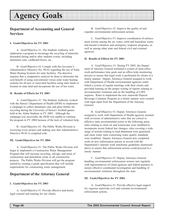### **Department of Accounting and General Services**

#### **I. Goals/Objectives for FY 2003**

A. Goal/Objective #1: The Stadium Authority will implement a program to encourage the recycling of materials discarded during and/or after stadium events, including aluminum cans, cardboard boxes, etc.

B. Goal/Objective #2: Comply with the Governor's Administrative Directive No. 98-03 regarding the use of Solar Water Heating Systems for state facilities. The directive requires that a comparative analysis be done to determine the cost-benefit of using conventional versus solar water heating systems for all new or renovated facilities using state funds or located on state land and incorporate the use of hot water.

#### **II. Results of Efforts for FY 2003**

A. Goal/Objective #1: The Stadium Authority worked with the Hawai'i Department of Health (DOH) to implement a campaign to collect aluminum cans and glass bottles for recycling during the University of Hawai'i football games held at the Aloha Stadium in FY 2003. Although the campaign was successful, the DOH was unable to continue the program in FY 2004 because of the lack of volunteer help.

B. Goal/Objective #2: The Public Works Division is reviewing every project and making sure that Administrative Directive 98-03 is complied with.

#### **III. Goals/Objectives for FY 2004**

A. Goal/Objective #1: The Public Works Division will begin to implement a Construction Waste Management Program that will increase recycling, salvage, and reuse of construction and demolition waste in all construction projects. The Public Works Division will get the program started by creating a guide specification that will include requirements for constructing waste management.

### **Department of the Attorney General**

#### **I. Goals/Objectives for FY 2003**

A. Goal/Objective #1: Provide effective and timely legal counsel and training for our clients.

B. Goal/Objective #2: Improve the quality of and expedite environmental enforcement actions.

C. Goal/Objective #3: Improve coordination of enforcement actions among the air, water, solid and hazardous waste, and hazard evaluation and emergency response programs, as well as among other state and federal civil and criminal agencies.

#### **II. Results of Efforts for FY 2003**

A. Goal/Objective #1: During FY 2003, the Department of Attorney General instituted a system of intra-office work performance time goals and an office-wide monitoring process to ensure that legal work is performed for clients in a timely manner. Deputy Attorneys General assigned to work with Department of Health environmental agencies established a system of regular meetings with their clients and provided training on the proper writing of reports relating to environmental violations and on the handling of UIPA requests. Rules to implement the new statewide Deposit Beverage Container Program in a timely manner were created with legal input from the Department of the Attorney General.

B. Goal/Objective #2: Deputy Attorneys General assigned to work with Department of Health agencies assisted with revisions of administrative rules that are critical to effective state environmental action in the following areas: rules relating to clean air and wastewater were modified to incorporate recent federal law changes; rules covering a wide range of actions relating to lead abatement were generated; and clean water rules concerning water quality standards were modified. Deputy Attorneys General also completed work on new enforcement actions in accord with the Department's internal work timeframe guidelines mentioned above to ensure that enforcement actions could proceed in a timely manner.

C. Goal/Objective #3: Deputy Attorneys General handling environmental enforcement actions met regularly with representatives of client agencies and federal partners to ensure effective coordinated investigation and handling of environmental violations throughout the state.

#### **III. Goals/Objectives for FY 2004**

A. Goal/Objective #1: Provide effective legal support for vigorous statewide civil and criminal environmental enforcement actions.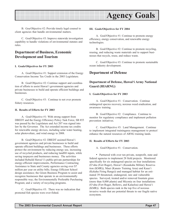

B. Goa/Objective #2: Provide timely legal counsel to client agencies that handle environmental matters.

C. Goal/Objective #3: Improve statewide investigation capability to handle violations of environmental statutes and rules.

### **Department of Business, Economic Development and Tourism**

#### **I. Goals/Objectives for FY 2003**

A. Goal/Objective #1: Support extension of the Energy Conservation Income Tax Credit in the 2003 Legislature.

B. Goal/Objective #2: Continue support and coordination of efforts to assist Hawai'i government agencies and private businesses to build and operate efficient buildings and businesses.

C. Goal/Objective #3: Continue to not over promote fishery resources.

#### **II. Results of Efforts for FY 2003**

A. Goal/Objective #1: With strong support from DBEDT and the Energy Efficiency Policy Task Force, SB 855 was passed by the Legislature and Act 207 was signed into law by the Governor. The Act extended income tax credits for renewable energy devices, including solar water heating, solar photovoltaic, and wind energy to 2008.

B. Goal/Objective #2: DBEDT assisted Hawai'i government agencies and private businesses to build and operate efficient buildings and businesses. These efforts protect the environment by reducing energy use, increasing use of recycled products, and reducing landfill inputs, while saving taxpayers and businesses money. The activities included Rebuild Hawai'i's public-private partnerships for energy-efficient improvements, Performance Contracting Assistance to State and County agencies saving over \$7 million per year on utility bills; Energy Efficient School design assistance; the Green Business Program to assist and recognize businesses that operate in an environmentally responsible way; the Environmentally Preferable Purchasing Program; and a variety of recycling programs.

C. Goal/Objective #3: There was no indication that promoted fish species were over-fished.

#### **III. Goals/Objectives for FY 2004**

A. Goal/Objective #1: Continue to promote energy efficiency, energy conservation, and renewable energy technologies.

B. Goal/Objective #2: Continue to promote recycling, reusing, and reducing waste materials and to support businesses that recycle, reuse, and reduce waste.

C. Goal/Objective #3: Continue to promote sustainable ocean industry development.

#### **Department of Defense**

### **Department of Defense, Hawai'i Army National Guard (HIARNG)**

#### **I. Goals/Objectives for FY 2003**

A. Goal/Objective #1: Conservation. Continue endangered species recovery, noxious weed eradication, and awareness training.

B. Goal/Objective #2: Compliance. Continue to monitor for regulatory compliance and implement pollution prevention initiatives.

C. Goal/Objective #3: Land Management. Continue to implement integrated trainingarea management to protect/ enhance the natural resources of ARNG training lands.

#### **II. Results of Efforts for FY 2003**

A. Goal/Objective #1: Conservation.

• Partnered with over ten private, nonprofit, state and federal agencies to implement 28 field projects. Monitored specifically for six endangered species on four installations (O'ahu (Fort Ruger), Hawai'i (Keaukaha Military Reservation (KMR)), Maui (Kanaio Training Area) and Kaua'i (Kekaha Firing Range)) and managed habitat for an estimated 39 threatened, endangered, rare and vulnerable species. Surveyed, treated and/or removed fountain grass (more than 8,000 plants) and Miconia on four installations (O'ahu (Fort Ruger, Bellows, and Kalaeloa) and Hawai'i (KMR)). Both species rank in the top five of noxious invasive weeds that are potential threats to our fragile native ecosystem.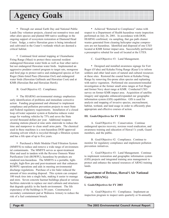• Through our annual Earth Day and National Public Lands Day volunteer projects, cleared out nonnative trees and other alien species and planted 800 native seedlings in the ongoing support of ecosystem restoration at Diamond Head Crater. Sedge, a native Hawaiian grass is being introduced and cultivated in the Crater's wetlands which are deemed a critical habitat.

• Continued feral animal trapping at Ukumehame Firing Range (Maui) to protect three seasonal resident endangered Hawaiian water birds as well as four other native but not endangered Hawaiian water birds. Implemented an aggressive predator control program to target rats, mongoose and feral pigs to protect native and endangered species at Fort Ruger (State-listed Pueo (Hawaiian Owl) and endangered water birds (Hawaiian Gallinule and Hawaiian Coot) and at KMR (Hawaiian Bat and Hawaiian Hawk).

B. Goal/Objective #2: Compliance.

• The HIARNG environmental strategy emphasizes early identification of problems and immediate corrective action. Funding programmed and obtained to implement compliance and pollution prevention projects to meet State and Federal regulatory requirements. Installation of a closed loop oil/water separator system at Kalaeloa reduces water usage for washing vehicles by 75% and saves the State several thousand dollars per year. Additional weapons cleaning stations placed at nine units statewide to reduce the time and manpower to clean small arms parts. The chemical used in these machines is a non-hazardous DOD approved cleaning solvent which is recycled through a filtration system and has a life span of up to five years.

• Purchased a Multi Modular Fluid Filtration System (MMFFS) to reduce and remove a wide range of environmental contaminants. The MMFFS serves as apost-treatment filter and used in tandem with the Reverse Osmosis Water Purification Unit (ROWPU), hazardous by-products are rendered non-hazardous. The MMFFS is a portable, lightweight, high-flow pre-and post-treatment unit that enhances ROWPU operations and aids in meeting environmental discharge regulations. Purchase of a tire baler reduced the amount of tires awaiting disposal. This system can compact 100 truck tires into a single bale, making it easier to manage and store. Seven concrete hazmat buildings placed at various facilities statewide to replace our steel cabinets and structures that degrade quickly in the harsh environment. The life expectancy of the buildings is 50 years. Constructed a secondary containment pad at Wahiawa Armory to reduce the risk of a fuel containment breach.

• Achieved "Returned to Compliance" status with respect to a Department of Health hazardous waste inspection performed on July 26, 2001. In accordance with DOH, HIARNG confirmed, via sampling, that gas path cleaner wastes generated from cleaning helicopter engine compressors are not hazardous. Identified and disposed of one UXO located at KMR former impact area. Successfully performed a presumptive rebuttal for used oil located at the UTES.

C. Goal/Objective #3: Land Management.

• Designed and installed awareness signage for Fort Ruger (O'ahu) and Kekaha Firing Range (Kaua'i) to inform soldiers and other land users of natural and cultural resources at these sites. Restored the coastal berm at Kekaha Firing Range by removing fire-prone alien species and replanting with native vegetation. Performed site assessment/remedial investigation at the former small arms ranges at Fort Ruger and former Navy skeet range at KMR. Conducted UXO survey on former KMR impact area. Acquisition of satellite imagery and upgrades enhanced/expanded our geographic information system (GIS) capabilities. GIS is used for analysis and mapping of invasive species, encroachment, habitat, wetland, and land usage in order to efficiently plan appropriate and effective courses of action.

#### **III. Goals/Objectives for FY 2004**

A. Goal/Objective #1: Conservation. Continue endangered species recovery, noxious weed eradication, and awareness training and education of Hawai'i's youth, Guard members, and the public.

B. Goal/Objective #2: Compliance. Continue to monitor for regulatory compliance and implement pollution prevention initiatives.

C. Goal/Objective #3: Land Management. Continue to implement restoration and geographic information system (GIS) projects and integrated training area management to protect and enhance the natural resources of ARNG training lands.

### **Department of Defense, Hawai'i Air National Guard (HIANG)**

#### **I. Goals/Objectives for FY 2003**

A. Goal/Objective #1: Compliance. Implement an inspection program to inspect units quarterly or bi-annually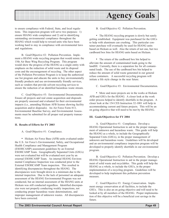

to ensure compliance with Federal, State, and local regulations. This inspection program will serve two purposes: 1) ensure HIANG wide compliance and 2) aid in identifying outstanding environmental compliance throughout the HIANG which would help to reward units who have been working hard to stay in compliance with environmental laws and regulations.

B. Goal/Objective #2: Pollution Prevention. Implement a HIANG wide recycling program that would mimic the 15th Air Base Wing Recycling Program. This program would show the progress of the HIANG as a single entity with emphasis on the reduction of solid waste and its disposal costs and the encouragement of recycling. The other aspect of the Pollution Prevention Program is to keep the authorized use list program and educate the units to buy environmentally friendly products and use environmentally friendly services, such as vendors that provide solvent recycling services to ensure the reduction of an identified hazardous waste stream.

C. Goal/Objective #3: Environmental Documentation. Ensure all projects and real estate acquisition and disposals are properly assessed and evaluated for their environmental impacts (i.e., amending Hickam AFB license showing facility acquisition and/or disposals). An Air Force Form 813, Environmental Baseline Survey, and Environmental Assessments must be submitted for all proper real property transactions.

#### **II. Results of Efforts for FY 2003**

A. Goal/Objective #1: Compliance.

• Hickam Air Force Base (AFB) units evaluated under the U.S. Air Force's Environmental, Safety, and Occupational Health Compliance and Management Program (ESOHCAMP) assessment guidelines by an External ESOHCAMP Team. Geographically Separated Units (GSUs) were not evaluated but will be evaluated next year by an external ESOHCAMP Team. An internal HIANG Environmental Compliance Inspection was conducted prior to the External ESOHCAMP Team inspection. This resulted in identifying discrepancies throughout the HIANG. The discrepancies were brought down to a minimum due to the internal inspection. Due to the lack of personnel an adequate assessment of the HIANG Environmental Program was not conducted, but an internal assessment of the HIANG units at Hickam was still conducted regardless. Identified discrepancies were not properly conducting weekly inspections, not conducting proper hazardous waste determinations, and improper management of unknown wastes. All discrepancies have been corrected.

B. Goal/Objective #2: Pollution Prevention.

• The HIANG recycling program is slowly but surely getting established. Equipment was purchased for the GSUs to help with aluminum can crushing. This particular container purchase will eventually be used for HIANG units based on Hickam as well. Also the return of not one, but two cardboard box bins for HIANG units based on Hickam.

• The return of the cardboard box bin helped to alleviate the amount of contaminated loads going to the landfill. Currently, there is a separation fee for all contaminated loads. The use of the cardboard box bin helped to reduce the amount of solid waste generated in our general refuse containers. A successful recycling program will initiate a life style change in the near future.

C. Goal/Objective #3: Environmental Documentation.

• More and more projects are in the works at Hickam AFB and GSUs for the HIANG. A closer look at the work order process helped to identify shortfalls in the program. A closer look at the 154 CES Instruction 32-1001 will help in accommodating current and future projects. This will be an on going objective that will need to be met by the HIANG.

#### **III. Goals/Objectives for FY 2004**

A. Goal/Objective #1: Compliance. Develop a HIANG Operational Instruction to aid in the proper management of unknown and hazardous waste. This guide will help the HIANG as a whole, to include the Geographically Separated Units (GSUs), in the proper management of unknown and hazardous waste. Guidelines will be developed and an environmental compliance inspection program will be developed to properly identify shortfalls in our environmental program.

B. Goal/Objective #2: Pollution Prevention. Develop a HIANG Operational Instruction to aid in the proper management of solid waste and recyclables. This guide will help the HIANG as a whole, to include the GSUs, in the proper implementation of a recycling program. Guidelines will be developed to help implement this pollution prevention measure.

C. Goal/Objective #3: Energy Conservation. Implement energy conservation at all facilities, to include the GSUs. This is also an on going objective and will need to be looked at by all members of the HIANG. Proper implementation of this objective will be a beneficial cost savings in the future.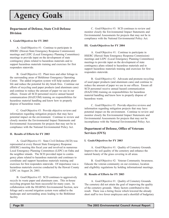### **Department of Defense, State Civil Defense Division**

#### **I. Goals/Objectives for FY 2003**

A. Goal/Objective #1: Continue to participate in HSERC (Hawaii State Emergency Response Commission) meetings and LEPC (Local Emergency Planning Committees) meetings to provide input on the development of state contingency plans related to hazardous materials and to support hazardous materials training and exercises for first responders statewide.

B. Goal/Objective #2: Plant trees and other foliage in the surrounding areas of Birkhimer Emergency Operating Center. The added irrigation system will help sustain plant life and reduce the potential for dry brush fires. Continue our efforts of recycling used paper products (and aluminum cans) and continue to reduce the amount of paper we use in our offices. Ensure all SCD personnel receive annual hazard communication (HAZCOM) training on responsibilities for hazardous material handling and know how to properly dispose of hazardous waste.

C. Goal/Objective #3: Provide objective reviews and information regarding mitigation projects that may have potential impact on the environment. Continue to review and closely monitor the Environmental Impact Statements and Environmental Assessments for projects that may not be in compliance with the National Environmental Policy Act.

#### **II. Results of Efforts for FY 2003**

A. Goal/Objective #1: State Civil Defense (SCD) was represented at every Hawaii State Emergency Response (HSERC) meeting this fiscal year and involved in numerous Local Emergency Planning Committees (LEPC) on Oahu and the neighbor islands. The SCD provided input to contingency plans related to hazardous materials and continues to coordinate and support hazardous materials training and exercises for first responders statewide. Of importance was a hazardous materials exercise conducted by the Hawaii County LEPC on August 26, 2003.

B. Goal/Objective #2: SCD continues to aggressively recycle its waste paper and aluminum cans. This in-house recycling program has been successful for many years. In collaboration with the HIARNG Environmental Section, new foliage and a second irrigation system were added to the landscape and surrounding areas leading to the Birkhimer facility.

C. Goal/Objective #3: SCD continues to review and monitor closely the Environmental Impact Statements and Environmental Assessments for projects that may not be in compliance with the National Environmental Policy Act.

#### **III. Goals/Objectives for FY 2004**

A. Goal/Objective #1: Continue to participate in HSERC (Hawaii State Emergency Response Commission) meetings and LEPC (Local Emergency Planning Committees) meetings to provide input on the development of state contingency plans related to hazardous materials and to support hazardous materials training and exercises for first responders statewide.

B. Goal/Objective #2: Advocate and promote recycling of used paper products (and aluminum cans) and continue to reduce the amount of paper we use in our offices. Ensure all SCD personnel receive annual hazard communication (HAZCOM) training on responsibilities for hazardous material handling and know how to properly dispose of hazardous waste.

C. Goal/Objective #3: Provide objective reviews and information regarding mitigation projects that may have potential impact on the environment. Continue to review and monitor closely the Environmental Impact Statements and Environmental Assessments for projects that may not be incompliance with the National Environmental Policy Act.

### **Department of Defense, Office of Veterans Services (OVS)**

#### **I. Goals/Objectives for FY 2003**

A. Goal/Objective #1: Quality of Cemetery Grounds. Improve the soil quality of the cemetery and enhance the natural beauty of the grass covering in all areas.

B. Goal/Objective #2: Veteran Community Awareness. Educate the veteran community on our existence, location and eligibility regulations by holding informational meetings.

#### **II. Results of Efforts for FY 2003**

A. Goal/Objective #1: Quality of Cemetery Grounds. The cemetery did not attain the goal of improving the quality of the cemetery grounds. Many factors contributed to this result. There was a hiring freeze which lowered the already short staff to two fewer employees and a shortfall of budgetary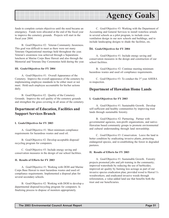

funds to complete certain objectives until the need became an emergency. Funds were allocated at the end of the fiscal year to improve the cemetery grounds. Projects will start in the fiscal year 2004.

B. Goal/Objective #2: Veteran Community Awareness. This goal was difficult to meet as there were not many Veterans Organizational meetings held throughout the year. Veteran's awareness was achieved through a Separations luncheon at Marine Corps Base Hawaii and also through the Memorial and Veterans Day Ceremonies held during the year.

#### **III. Goals/Objectives for FY 2004**

A. Goal/Objective #1: Overall Appearance of the Cemetery. Improve the overall appearance of the cemetery by implementing employee standards to be either meet or not meet. Hold each employee accountable for his/her actions daily.

B. Goal/Objective #2: Quality of the Cemetery Grounds. Improve the soil quality of the cemetery grounds and strengthen the grass covering in all areas of the cemetery.

### **Department of Education, Facilities and Support Services Branch**

#### **I. Goals/Objectives for FY 2003**

A. Goal/Objective #1: Meet minimum compliance requirements for hazardous wastes and used oil.

B. Goal/Objective #2: Develop acceptable disposal/ recycling program for computers.

C. Goal/Objective #3: Include energy saving and conservation measures in the design of our school facilities.

#### **II. Results of Efforts for FY 2003**

A. Goal/Objective #1: Working with DOH and Marine Corps Base Hawaii to meet hazardous wastes and used oil compliance requirements. Implemented a disposal plan for several secondary schools.

B. Goal/Objective #2: Working with DOH to develop a departmental disposal/recycling program for computers. Is finalizing process to dispose of monitors appropriately.

C. Goal/Objective #3: Working with the Department of Accounting and General Services to install waterless urinals in several schools as a pilot program, to include cross ventilation design in our new schools and buildings, and to include landscaping designs to shade the facilities, etc.

#### **III. Goals/Objectives for FY 2004**

A. Goal/Objective #1: Include energy saving and conservation measures in the design and construction of our school facilities.

B. Goal/Objective #2: Continue meeting minimum hazardous wastes and used oil compliance requirements.

C. Goal/Objective #3: To conduct the 3rd year AHERA re-inspection.

### **Department of Hawaiian Home Lands**

#### **I. Goals/Objectives for FY 2003**

A. Goal/Objective #1: Sustainable Growth. Develop self-sufficient and healthy communities by improving trust lands through sustainable forestry.

B. Goal/Objective #2: Partnering. Partner with governmental agencies, non-profit organizations, and native-Hawaiian based community groups to promote environmental and cultural understanding through land stewardship.

C. Goal/Objective #3: Conservation. Leave the land in better condition by eradicating invasive plants, protecting endangered species, and re-establishing the forest in degraded pastures.

#### **II. Results of Efforts for FY 2003**

A. Goal/Objective #1: Sustainable Growth. Forestry projects promoted jobs and job training in the community; improved watersheds by reducing the use of herbicides; improved air quality by burning less acreage as part of our invasive species eradication plan; provided wood to Hawai'i's woodworkers; and eradicated invasive weeds through reforestation, a value-added land use that benefits both the trust and our beneficiaries.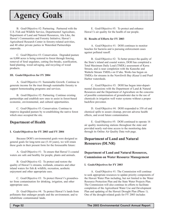B. Goal/Objective #2: Partnering. Partnered with the U.S. Fish and Wildlife Service, Departmentof Agriculture, Department of Land and Natural Resources, Alu Like, the Hawai'i Communities and Forestry Initiative; Hawai'i Agricultural Research Center in forestry-related activities, and 40 other private parties in Watershed Partnerships statewide.

C. Goal/Objective #3: Conservation. Degraded pasture on 8,000 acres is being restored to forest through fencing, removal of feral ungulates, cutting fire-breaks, scarification, hand planting, wood salvaging, and recycling of wood products.

#### **III. Goals/Objectives for FY 2004**

A. Goal/Objective #1: Sustainable Growth. Continue to generate income for the trust through sustainable forestry to support homesteading programs and services.

B. Goal/Objective #2: Partnering. Continue existing partnerships and establish new ones to assist in forest-based economic, environmental, and cultural opportunities.

C. Goal/Objective #3: Conservation. Continue to improve degraded pasture by re-establishing the native forest which once occupied the site.

### **Department of Health**

#### **I. Goals/Objectives for FY 2003 and FY 2004**

Because DOH's environmental goals were designed as general goals for long-term use (5-10 years), we will retain these goals in their present form for the foreseeable future:

A. Goal/Objective #1: To ensure that Hawai'i's coastal waters are safe and healthy for people, plants and animals.

B. Goal/Objective #2: To protect and restore the quality of Hawai'i's streams, wetlands, estuaries and other inland waters for fish & wildlife, recreation, aesthetic enjoyment and other appropriate uses.

C. Goal/Objective #3: To protect Hawai'i's groundwater from contamination for drinking, irrigation, and other appropriate uses.

D. Goal/Objective #4: To protect Hawai'i's lands from pollutants that endanger people and the environment; and to rehabilitate contaminated lands.

E. Goal/Objective #5: To protect and enhance Hawai'i's air quality for the health of our people.

#### **II. Results of Efforts for FY 2003**

A. Goal/Objective #1: DOH continues to monitor beaches for bacteria and is pursuing enforcement cases against polluted runoff.

B. Goal/Objective #2: To better protect the quality of the State's inland and coastal waters, DOH has completed a Total Maximum Daily Load (TMDL) assessment of Kawa Stream, and is near completion with the Kaneohe and Waikele Stream TMDLs on O'ahu. Works has begun on TMDLs for streams in the Nawiliwili Bay (Kaua'i) and Pearl Harbor watersheds.

C. Goal/Objective #3: DOH has begun inter-departmental discussions with the Department of Land & Natural Resources and the Department of Agriculture on the concerns of possible contamination of groundwater due to the use of chemicals in irrigation well water systems without a proper backflow preventor.

D. Goal/Objective #4: DOH responded to 358 oil and chemical spills to assure cleanup, prevent adverse health effects, and avoid future contamination.

E. Goal/Objective #5: DOH continued to operate 16 air quality monitoring stations throughout the state and provided nearly real-time access to the monitoring data through its Online Air Quality Data web page.

### **Department of Land and Natural Resources (DLNR)**

### **Department of Land and Natural Resources, Commission on Water Resource Management**

#### **I. Goals/Objectives for FY 2003**

A. Goal/Objective #1: The Commission will continue to seek appropriate resources to update priority components of the Hawaii Water Plan including, but not limited to the Water Resource Protection Plan and the State Water Projects Plan. The Commission will also continue its efforts to facilitate completion of the Agricultural Water Use and Development Plan and updating of the Hawaii Drought Plan (Phase 1). One of the drought-related goals for FY 2003 includes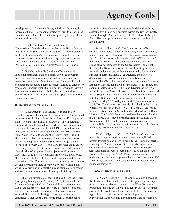

development of a Statewide Drought Risk and Vulnerability Assessment and GIS Mapping project to identify areas in the State that are vulnerable to meteorological, hydrological, and agricultural drought.

B. Goal/Objective #2: Continue to use the Commission's final decision and order in the Waiahole case and the Hawaii Supreme Court's August 22, 2000 decision to guide the Commission's efforts, actions, and policies related to enhancing stream protection, management, and restoration. A few areas of concern include Waikolu Valley (Molokai), East Maui, and Lalakea/Waipio (Big Island).

C. Goal/Objective #3: Continue efforts to establish additional permanent staff positions, as well as securing necessary resources to implement critical water resource protection provisions of the State Water Code. Additional positions are needed to augment current staffing to effectively assess and establish quantifiable interim/permanent instream flow standards statewide, including but not limited to, quantification of stream diversions and appurtenant/riparian surface water uses.

#### **II. Results of Efforts for FY 2003**

A. Goal/Objective #1: Efforts to update and/or complete priority elements of the Hawaii Water Plan included preparation of the Agricultural Water Use and Development Plan (AWUDP) Integration Framework. The Integration Framework was developed to provide a clearer understanding of the required structure of the AWUDP and sets forth the necessary coordination/linkages between the AWUDP, the State Water Projects Plan, and the County Water Use and Development Plans. Additionally, the Commission completed and adopted an updated State Water Projects Plan (SWPP) in February 2003. The SWPP includes an inventory of existing State wells, stream diversions, and water systems; identification of proposed State projects/developments; assessment of future water demand projections; and a Water Development Strategy, strategy implementation and recommendations. The Commission is also continuing its efforts to develop a prototype State agency water conservation plan, which may serve as an overall planning template for broader, statewide water conservation efforts by all State agencies.

The Commission also secured \$50,000 from the Federal Emergency Management Agency (FEMA) to undertake a Statewide Drought Risk and Vulnerability Assessment and GIS Mapping project. The Project (to be completed in early FY 2004) includes delineation of sector-based drought vulnerability for the following sectors: agriculture and commerce, water supply, and environmental, public health

and safety. Key elements of the drought risk/vulnerability assessment will also be integrated within the revised/updated Hawaii Drought Plan and the overall State Hazard Mitigation Plan. The latter planning elements are to be completed in late FY 2004.

B. Goal/Objective #2: The Commission's efforts, actions, and policies related to enhancing stream protection, management, and restoration were channeled toward several East Maui streams as well as to the Lalakea-Waipio area of the Island of Hawaii. The Commission entered into a cooperative agreement with the United States Geological Survey (USGS) to 1) assess the effects of existing surfacewater diversions on streamflow characteristics for perennial streams in northeast Maui, 2) characterize the effects of diversions on instream temperature variations, and 3) estimate the effects that streamflow restoration would have on habitat availability for native stream fauna (fish, shrimp, and snails) in northeast Maui. The Land Division of the Department of Land and Natural Resources, the Maui Department of Water Supply, and Alexander and Baldwin Inc. are partners with the USGS and the Commission in funding this 3-plus year study (May 2002 to September 2005) at a total cost of \$635,000. The Commission was also involved in the Lalakea Alternative Mitigation Plan (LAMP) Project, a 3-year study funded by Kamehameha Schools and conducted by the Bishop Museum. The LAMP Project started baseline data collection in July 2003. Flow may be restored from the Lalakea Ditch System into Lalakea and Hakalaoa Streams as early as January 2004. Baseline studies will continue after the flow is restored to assess the impacts of restoration.

C. Goal/Objective #3: In FY 2002, the Commission was able to secure a position under a newly established Stream Protection and Management (SPAM) Branch, thereby allowing the Commission to better focus its resources on surface water management. However, no additional permanent staff positions were secured in FY 2003 for the SPAM Branch. Currently, the SPAM Branch maintains three positions and continues to pursue the goals outlined under FY 2003 of the assessment and establishment of instream flow standards statewide.

#### **III. Goals/Objectives for FY 2004**

A. Goal/Objective #1: The Commission will continue its efforts to seek available resources to update and/or prepare priority planning elements related to the Water Resource Protection Plan and the Hawaii Drought Plan. The Commission will also continue collaboration with the Department of Agriculture to facilitate and assist development of the Agricultural Water Use and Development Plan, including its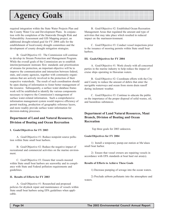required integration within the State Water Projects Plan and the County Water Use and Development Plans. In conjunction with the completion of the Statewide Drought Risk and Vulnerability Assessment and GIS Mapping project, an additional drought-related goal for FY 2004 calls for the establishment of local/county drought committees and the development of county drought mitigation strategies.

B. Goal/Objective #2: The Commission will continue to develop its Stream Protection and Management Program. While the overall goals of the Commission are to establish interim/permanent instream flow standards and prioritization of streams for protection, an important objective will be to improve the communication and interaction between federal, state, and county agencies, together with community organizations that are actively involved in the protection of their respective watersheds. The result of such coordination should be open sharing of information to foster better management of the resource. Subsequently, a surface water database framework will be established to identify the various components necessary to improve the Commission's management of surface water-related information. Such a comprehensive information management system would improve efficiency of permit tracking, production of geographic reference layers, and more readily provide surface water information for decision-making processes.

### **Department of Land and Natural Resources, Division of Boating and Ocean Recreation**

#### **I. Goals/Objectives for FY 2003**

A. Goal/Objective #1: Reduce nonpoint source pollution within State small boat harbors.

B. Goal/Objective #2: Reduce the negative impact of recreational and commercial activities on the marine environment.

C. Goal/Objective #3: Ensure that vessels moored within State small boat harbors are seaworthy and in compliance with State and Federal pollution requirements and guidelines.

#### **II. Results of Efforts for FY 2003**

A. Goal/Objective #1: Researched and proposed policies for drydock repair and maintenance of vessels within State small boat harbors using EPA guidelines when applicable.

B. Goal/Objective #2: Established Ocean Recreation Management Areas that regulated the amount and type of activities that may take place which resulted in reduced impact on the marineenvironment.

C. Goal/Objective #3: Conduct vessel inspections prior to the issuance of mooring permits within State small boat harbors.

#### **III. Goals/Objectives for FY 2004**

A. Goal/Objective #1: Work closely with all concerned parties in the marine industry to help reduce the impact of cruise ships operating in Hawaiian waters.

B. Goal/Objective #2: Coordinate efforts with the City and County to reduce the amount of debris that enter the navigable waterways and ocean from storm drain runoff during inclement weather.

C. Goal/Objective #3: Continue to educate the public on the importance of the proper disposal of solid wastes, oil, and hazardous substances.

### **Department of Land Natural Resources, Maui Branch, Division of Boating and Ocean Recreation**

Top three goals for 2003 unknown.

#### **Goals/Objectives for FY 2004**

1) Install a temporary pump-out station at Ma'alaea small boat harbor.

2) Ensure that vessel owners are repairing vessels in accordance with EPA standards at boat haul out area(s).

#### **Results of Efforts to Achieve These Goals**

1) Decrease pumping of sewage into the ocean waters.

2) Preclude airborn pollutants into the atmosphere and waters.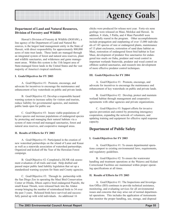#### **Department of Land and Natural Resources, Division of Forestry and Wildlife**

Hawaii's Division of Forestry & Wildlife (DOFAW), a line agency of the Department of Land and Natural Resources, is the largest land management entity in the State of Hawaii, with direct responsibility for approximately 800,000 acres of state trust lands. These lands are managed through an integrated system of forest and natural area reserves, plant and wildlife sanctuaries, and wilderness and game management areas. Within this system is the 11th largest area of State-managed forest lands in the United States and the vast majority of America's tropical rainforests.

#### **I. Goals/Objectives for FY 2003**

A. Goal/Objective #1: Promote, encourage, and advocate for incentives to encourage the maintenance and enhancement of key watersheds on public and private lands.

B. Goal/Objective #2: Develop a responsible hazard warning system to increase safety for visitors and tourists, reduce liability for governmental agencies, and maintain public lands open for public use

C. Goal/Objective #3: Insure viable populations of native species and increase populations of endangered species by protecting and managing their natural habitats via a system of state-owned and managed sanctuaries, forest and natural area reserves, and cooperative managed areas.

#### **II. Results of Efforts for FY 2003**

A. Goal/Objective #1: Participated in the creation of new watershed partnerships on the island of Lanai and Kauai as well as a statewide association of watershed partnerships. Organized and kicked off the Year of the Hawaiian Forest campaign.

B. Goal/Objective #2: Completed a DLNR risk assessment evaluation of all trails and road. Help drafted and passed major public land liability legislation that set up a standardized warning sysytem for State and County agencies.

C. Goal/Objective #3:Through its partnership with the San Diego Zoo in operating the Maui Bird Conservation Center at Olinda, fifteen captive bred endangered Puaiohi, the small Kauai Thrush, were released back into the Alakai swamp bringing the number of reintroduced birds to 34 over the past 3 years. Released birds have survived and successfully paired up with wild individuals. An additional 16

chicks were produced for release next year. Forty-six nene goslings were released on Maui, Molokai and Hawaii. In addition, 8 Alala, 3 Palila, and 4 Maui Parrotbill were successfully reared in the program. Other accomplishments include propagation and outplanting of over 13,000 individuals of 145 species of rare or endangered plants, maintenance of 13 plant enclosures, restoration of sand dune habitat on Maui, restoration of endangered forest bird habitat in East Maui, development of predator free sanctuaries for endangered tree snails on Oahu, predator and weed control in important wetlands Statewide, predator and weed control on offshore seabird sanctuaries, and research into development of more effective predator control techniques.

#### **III. Goals/Objectives for FY 2004**

A. Goal/Objective #1: Promote, encourage, and advocate for incentives to encourage the maintenance and enhancement of key watersheds on public and private lands.

B. Goal/Objective #2: Develop, protect and maintain wetland habitat through management and cooperative agreements with other agencies and private organizations.

C. Goal/Objective #3: Support efforts for invasive species prevention and control by promoting interagency cooperation, expanding the network of volunteers, and updating training and equipment for effective rapid response capacity.

#### **Department of Public Safety**

#### **I. Goals/Objectives for FY 2003**

A. Goal/Objective #1: To ensure departmental operations comport to existing environmental laws, requirements, and regulatory guidelines.

B. Goal/Objective #2: To ensure the wastewater handling and treatment operations at the Waiawa and Kulani Correctional Facilities are maintained within proper operating specifications at all times.

#### **II. Results of Efforts for FY 2003**

A. Goal/Objective #1: The Inspections and Investigation Office (IIO) continues to provide technical assistance, monitoring, and evaluating services for all environmental issues and concerns that may arise out of normal departmental operations. This includes the application of instruments that monitor the proper handling, use, storage, and disposal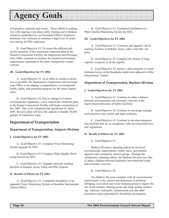of hazardous materials and wastes. These efforts in conjunction with ongoing work place safety training and evaluation initiatives undertaken by our Personnel Office's Employee Relations Unit continues to maintain a high level of awareness among all PSD employees.

B. Goal/Objective #2: To ensure the efficient and lawful operation of the wastewater treatment plant at the Waiawa Correctional Facility, the Inspections and Investigations Office continues to monitor the detailed performance requirements stipulated in the plant management vendor contract.

#### **III. Goals/Objectives for FY 2004**

A. Goal/Objective #1: In an effort to remain as proactive as possible, the Department's Inspections and Investigations Office is developing a comprehensive environmental health, safety, and sanitation program for the entire Department.

B. Goal/Objective #2: Due to changes in Federal environmental regulations, a new wastewater treatment plant at the Kulani Correctional Facility will begin construction in late 2003. Due to be completed and operational by April 2005, the new plant will have the capacity to handle 30,000 gallons of wastewater a day.

### **Department of Transportation**

#### **Department of Transportation, Airports Division**

#### **I. Goals/Objectives for FY 2003**

A. Goal/Objective #1: Complete Noise Monitoring System upgrade for HNL.

B. Goal/Objective #2: Complete Water Quality Monitoring System for HNL.

C. Goal/Objective #3: Upgrade vehicular washing facilities at Kahului, Kona, Lihue and Hilo Airports.

#### **II. Results of Efforts for FY 2003**

A. Goal/Objective #1: Completed installation of an upgraded Noise Monitoring System at Honolulu International Airport (HNL).

B. Goal/Objective #2: Completed installation of a Water Quality Monitoring System for HNL.

#### **III. Goals/Objectives for FY 2004**

A. Goal/Objective #1: Construct and upgrade vehicle washing facilities at Kahului, Kona, Lihu'e and Hilo Airports.

B. Goal/Objective #2: Complete the closure of large capacity cesspools at all the airports.

C. Goal/Objective #3: Initiate a pilot program to sound attenuate homes in the Keaukaha subdivision adjacent to Hilo International Airport.

#### **Department of Transportation, Harbors Division**

#### **I. Goals/Objectives for FY 2003**

A. Goal/Objective #1: Continue to strike a balance between environmental and economic concerns in the improvement/allocation of harbor facilities.

B. Goal/Objective #2: Continue to encourage management practices that control and abate pollution.

C. Goal/Objective #3: Continue to develop transportation facilities that are in compliance with environmental laws and regulations.

#### **II. Results of Efforts for FY 2003**

A. Goal/Objective #1:

Harbors Division's planning endeavors involved environmental organizations, harbor users, government agencies and community interest groups. Through the collaborative planning efforts, the Harbors Division was able to strike a balance between legitimate environmental issues and economic concerns.

B. Goal/Objective #2:

The Harbors Division complies with all environmental requirements in the control and abatement of pollution. Dredging, excavation and ocean dumping projects require the use of silt curtains, filtering pools and water quality monitoring. Asbestos, lead paint, contaminated soil and other hazardous wastes generated by demolition are properly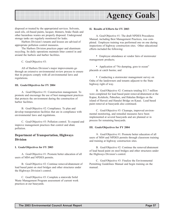

disposed or treated by the appropriated services. Solvents, used oils, oil-based paints, lacquer, thinners, brake fluids and other hazardous wastes are properly disposed. Underground storage tanks are regularly monitored for leaks.

Harbors Division's tenants and lessees are advised of appropriate pollution control measures.

The Harbors Division practices paper and aluminum recycling. Its daily operations maintain litter control in and around the harbors and harbor facilities.

C. Goal/Objective #3:

All of Harbors Division's major improvements go through an extensive environmental review process to ensure that its projects comply with all environmental laws and regulations.

#### **III. Goals/Objectives for FY 2004**

A. Goal/Objective #1: Construction management. To promote and encourage the use of best management practices that protects the environment during the construction of harbor facilities.

B. Goal/Objective #2: Compliance. To plan and develop transportation facilities that are in compliance with environmental laws and regulations.

C. Goal/Objective #3: Pollution control. To expand and improve management practices that control and abate pollution.

#### **Department of Transportation, Highways Division**

#### **I. Goals/Objectives for FY 2003**

A. Goal/Objective #1: Promote better education of all users of MS4 and NPDES permits.

B. Goal/Objective #2: Continue removal/abatement of lead based paint on steel bridges and other structures under the Highways Division's control.

C. Goal/Objective #3: Complete a statewide Solid Waste Management Program assessment of current work practices at our baseyards.

#### **II. Results of Efforts for FY 2003**

A. Goal/Objective #1: The draft NPDES Procedures Manual, including Best Management Practices, was completed. Employee training was performed one on one during inspections of highway construction sites. Other educational efforts included the following:

• Employee attendance at vendor fairs of stormwater management products;

• Application of "No dumping, goes to ocean" placards at catch basins; and

• Conducting a stormwater management survey on Oahu of the landowners and tenants adjacent to the State highway right of way.

B. Goal/Objective #2: Contracts totaling \$11.7 million were completed for lead based paint removal/abatement at the Kapue, Kolekole, Paheehee, and Hakalau Bridges on the island of Hawaii and Hanalei Bridge on Kauai. Lead based paint removal at baseyards also continued.

C. Goal/Objective #3: Cleanups, improved environmental monitoring, and remedial measures have been implemented at several baseyards and are planned or in process for remaining baseyards.

#### **III. Goals/Objectives for FY 2004**

A. Goal/Objective #1: Promote better education of all users of MS4 and NPDES permits through classroom training and training at highway construction sites.

B. Goal/Objective #2: Continue the removal/abatement of lead based paint on steel bridges and other structures under the Highways Division's control.

C. Goal/Objective #3: Finalize the Environmental Permitting Guidelines Manual and begin training on the manual.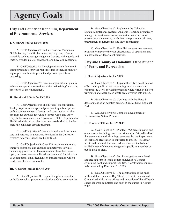### **City and County of Honolulu, Department of Environmental Services**

#### **I. Goals/Objectives for FY 2003**

A. Goal/Objective #1: Reduce waste to Waimanalo Gulch Sanitary Landfill by increasing recycling of target materials such as sewage sludge, yard waste, white goods and metals, wooden pallets, cardboard, and beverage containers.

B. Goal/Objective #2: Develop a dynamic flow monitoring program to provide real time data to include monitoring of problem lines to predict and prevent spills from occurring.

C. Goal/Objective #3: Finalize organizational plan to achieve competitive operations while maintaining/improving protection of the environment.

#### **II. Results of Efforts for FY 2003**

A. Goal/Objective #1: The in-vessel bioconversion facility to process sewage sludge is awaiting a final permit before commencement of design and construction. A pilot program for curbside recycling of green waste and other recyclables commenced on November 3, 2003. Department of Health administrative rules have been established to implement the container deposit program.

B. Goal/Objective #2: Installation of new flow monitors and software is underway. Positions in the Collection Systems Analysis Branch are being filled.

C. Goal/Objective #3: Over 120 recommendations to improve operations and enhance competitiveness while enhancing protection of the environment have been developed, business cases established, and reviewed for initiation of action plans. Final decisions on implementation will be made over the next six months.

#### **III. Goals/Objectives for FY 2004**

A. Goal/Objective #1: Expand the pilot residential curbside recycling program to additional Oahu communities.

B. Goal/Objective #2: Implement the Collection System Maintenance Systems Analysis Branch to proactively manage the wastewater collection system with the use of preventive maintenance, rehabilitation/replacement of lines, pretreatment requirements, and flow monitoring.

C. Goal/Objective #3: Establish an asset management program to improve the cost-effectiveness of operations and maintenance of department facilities.

### **City and County of Honolulu, Department of Parks and Recreation**

#### **I. Goals/Objectives for FY 2003**

A. Goal/Objective #1: Expand the City's beautification efforts with public street landscaping improvements and continue the City's recycling program where virtually all tree trimmings and other green waste are converted into mulch.

B. Goal/Objective #2: Continue with the Phase 3 development of an aquatics center at Central Oahu Regional Park.

C. Goal/Objective #3: Complete development of Hanauma Bay Nature Preserve.

#### **II. Results of Efforts for FY 2003**

A. Goal/Objective #1: Planted 1,995 trees in parks and open spaces, including streets and sidewalks. Virtually all of the green waste and trimmings generated by the Department of Parks and Recreation is converted to mulch. The department used this mulch in our parks and makes the balance available free of charge to the general public at a number of public pick up sites.

B. Goal/Objective #2: Soil investigations completed and site adjacent to tennis center selected for 50-meter swimming pool and support facilities. Construction contract to be awarded by December 31, 2003.

C. Goal/Objective #3: The construction of the multimillion dollar Hanauma Bay Theatre Exhibit, Educational, Gift and Administrative offices and relocation of the off beach snack bar were completed and open to the public in August 2002.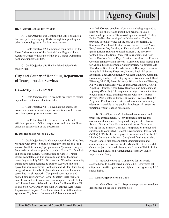#### **III. Goals/Objectives for FY 2004**

A. Goal/Objective #1: Continue the City's beautification and park landscaping efforts through tree planting and other landscaping beautification improvements.

B. Goal/Objective #2: Commence construction of the Phase 3 development of the Central Oahu Regional Park Aquatics Center with a state of the art 50-meter swimming pool and support facilities.

C. Goal/Objective #3: Finalize Island Wide Parks Master Plan.

### **City and County of Honolulu, Department of Transportation Services**

#### **I. Goals/Objectives for FY 2003**

A. Goal/Objective #1: To promote programs to reduce dependence on the use of automobiles.

B. Goal/Objective #2: To evaluate the social, economic, and environmental impact of additions to the transportation system prior to construction.

C. Goal/Objective #3: To improve the safe and efficient operation of City transportation and other facilities under the jurisdiction of the department.

#### **II. Results of Efforts for FY 2003**

A. Goal/Objective #1: Co-sponsored the Car Free Day. Working with 10 to 15 public elementary schools on a "red sneaker (walk to school)" program and a "pace car" program. Solicited consultant proposals to conduct Phase III of the huband-spoke bus system. Construction of Kapolei Transit Center completed and bus service to and from the transit center began in July 2003. Waianae and Waipahu community transit hubs being designed to support Leeward hub-andspoke bus service network. Wahiawa and Mililani hubs being designed to meet needs of planned Central Oahu hub-andspoke bus transit network. Completed construction and opened new University of Hawaii Sinclair Circle bus terminus. Construction to commence on Waipahu Transit Center on Hikimoe Street. Selected consultant for Phases II and III of Bus Stop ADA (Americans with Disabilities Act) Access Improvement Project. Awarded contract to install smart card system on City buses. Constructed 87 bus shelters and

installed 300 new benches. Contracts are being prepared to build 55 bus shelters and install 120 benches in 2004. Continued operation of Kaimuki-Kapahulu-Waikiki Trolley. Entire TheBus fleet equipped with bike racks. TheBus provided special services for the Mayor's Memorial Day Service at Punchbowl, Easter Sunrise Service, Great Aloha Run, Veterans Day Service, all University of Hawaii home games (Aloha Stadium Football Express), the Pro Bowl football game, the Sony Open golf tournament, and New Year's Eve-New Year's Day. Continued work on the Primary Corridor Transportation Project. Completed final master plan for Middle Street Intermodal Center project. Conducted Ala Wai Mauka Bike Path. Ke Ala Pupukea Bikeway Extension, Asing Park Bikeway Extension, Kewalo Basin Bikeway Extension, Leeward Community College Bikeway, Kapiolani Community College Bike Staging Area, Waialua Beach Road Bikeway, McCully Street Bikeway, Waialae Avenue Bikeway, Ala Wai Boulevard Bikeway, Young Street Bikeway, Ke Ala Pupukea Bikeway, Keolu Drive Bikeway, and Kamehameha Highway (Kaneohe) Bikeway under design. Conducted four bicycle traffic safety-training sessions with new TheBus drivers. Participated in Hawaii Bicycling League's Bike Ed Program. Purchased and distributed various bicycle safety education materials to the public. Purchased 25 "street art" functional "bike" shaped bike racks.

B. Goal/Objective #2: Reviewed, coordinated and processed approximately 43 environmental impact and assessment documents. Completed Chapter 343, Hawaii Revised Statutes Final Environmental Impact Statement (FEIS) for the Primary Corridor Transportation Project and substantially completed National Environmental Policy Act (NEPA) FEIS for the same project. Administered the Waikiki Livable Community Project. Completed final master plan, Phases I and II site contamination documentation and environmental assessment for the Middle Street Intermodal Center project. Initiated planning work on the Waipio Point Access Road Study and Kamehameha Highway Transit Improvement Study.

C. Goal/Objective #3: Contracted for ten hybrid electric buses to be delivered in June 2005. Converted all City-owned traffic lights to new high tech energy saving LED signal lights.

#### **III. Goals/Objective for FY 2004**

A. Goal/Objective #1: To promote programs to reduce dependence on the use of automobiles.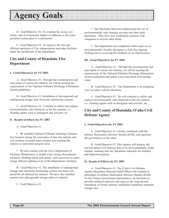B. Goal/Objective #2: To evaluate the social, economic, and environmental impact of additions to the transportation system prior to construction.

C. Goal/Objective #3: To improve the safe and efficient operation of City transportation and other facilities under the jurisdiction of the department.

### **City and County of Honolulu, Fire Department**

#### **I. Goals/Objectives for FY 2003**

A. Goal/Objective #1: Through the reconstruction and renovation of various fire stations, we will be meeting the requirements of the National Pollutant Discharge Elimination System guidelines.

B. Goal/Objective #2: Installation of aboveground and underground storage tank electronic monitoring systems.

C. Goal/Objective #3: Continue to utilize and explore environmentally safe chemicals at the fire stations, i.e. cleaning agents such as detergents and solvents, etc.

#### **II. Results of Efforts for FY 2003**

A. Goal/Objective #1:

• We installed National Pollutant Discharge Elimination Systems during the renovation of four fire stations and will continue to install these systems into existing fire stations as renovation projects arise.

• We also worked with the City's Department of Facilities Maintenance to install water saving showerheads, automatic flushing toilets and urinals, and conversion to more energy efficient lighting in all of the Department's facilities.

B. Goal/Objective #2: The installation of underground storage tank electronic monitoring systems has been completed for all affected fire stations. We have also installed systems into aboveground storage tanks as required.

C. Goal/Objective #3:

• Our Mechanic Shop has implemented the use of environmentally safe cleaning solvents into their daily operations. They have also established contracts with companies to recycle other fluids.

• The Department has completed a field study on an environmentally friendly detergent to clean fire fighting clothing and is reviewing the feedback on its effectiveness.

#### **III. Goals/Objectives for FY 2004**

A. Goal/Objective #1: Through the reconstruction and renovation of various fire stations, we will be meeting the requirements of the National Pollutant Discharge Elimination System guidelines and reduce costs associated with heating water.

B. Goal/Objective #2: The Department is investigating ways to reduce vehicle emissions.

C. Goal/Objective #3: We will continue to utilize and explore environmentally safe chemicals at the fire stations, i.e., cleaning agents such as detergents and solvents, etc.

### **City and County of Honolulu, O'ahu Civil Defense Agency**

#### **I. Goals/Objectives for FY 2003**

A. Goal/Objective #1: Closely coordinate with the military Restoration Advisory Boards (RAB), and represent the government on the same.

B. Goal/Objective #2: This Agency will dispose old and out-dated Civil Defense Kits in an environmentally sound manner, ensuring that any hazardous materials are handled and disposed properly.

#### **II. Results of Efforts for FY 2003**

A. Goal/Objective #1: The O'ahu Civil Defense Agency Hazardous Materials Staff Officer will continue to participate on military Restoration Advisory Boards (RAB). As the County Government representative, he functions to provide technical expertise and input in the clean-up and restoration of former military installation hazardous materials storage sites.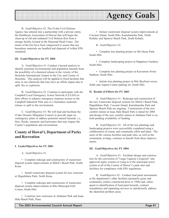

B. Goal/Objective #2: The O'ahu Civil Defense Agency has entered into a partnership with a private entity, the Healthcare Association of Hawaii that will begin the clean-up of old and outdated Civil Defense Kits from a storage facility located in the Diamond Head Crater. Elements of the kits have been categorized to assure that any hazardous materials are handled and disposed of within EPA standards.

#### **III. Goals/Objectives for FY 2004**

A. Goal/Objective #1: Conduct a hazard analysis to identify potential environmental and population hazards from the possibility of a chemical release in the vicinity of the Honolulu International Airport in the City and County of Honolulu. This analysis will be applied to fixed facilities that store or use chemicals that may have an offsite impact due to spill, fire or explosion.

B. Goal/Objective #2: Continue to participate with the Campbell Local Emergency Action Network (CLEAN) in their efforts to enhance emergency response actions in the Campbell Industrial Park area to a hazardous materials release or spill to the environment.

C. Goal/Objective #3: We will lead and facilitate the O'ahu Disaster Mitigation Council to provide input on contingency plans to address potential natural hazards, i.e., fires, floods, tsunamis and hurricanes that may impact the County's population and environment.

### **County of Hawai'i, Department of Parks and Recreation**

#### **I. Goals/Objectives for FY 2003**

A. Goal/Objective #1:

• Complete redesign and construction of wastewater disposal system improvements at Miloli'i Beach Park, South Kona.

• Install wastewater disposal system for new restroom at Higashihara Park, North Kona.

• Complete redesign and construction of wastewater disposal system improvements at Hilo Municipal Golf Course, South Hilo.

• Construct new restrooms at Ahalanui Park and Isaac Hale Beach Park, Puna.

• Initiate wastewater disposal system improvements at Coconut Island, South Hilo; Kamehameha Park, North Kohala; and Spencer Beach Park, South Kohala.

B. Goal/Objective #2:

• Complete tree planting project at Mo'oheau Park, South Hilo.

• Complete landscaping project at Happiness Gardens, South Hilo.

• Complete tree planting project at Kawamoto Swim Stadium, South Hilo.

• Initiate tree planting project at Hilo Bayfront soccer fields and Aupuni Center parking lot, South Hilo.

#### **II. Results of Efforts for FY 2003**

A. Goal/Objective #1: Redesign and construction of the new wastewater disposal systems for Miloli'i Beach Park, Higashihara Park, Coconut Island, Kamehameha Park and Spencer Beach Park are ongoing. Construction of the new comfort station at Isaac Hale Beach Park is slated for 2004 and design of the new comfort station at Ahalanui Park is on hold pending availability of funding.

B. Goal/Objective #2: All of the tree plantings and landscaping projects were successfully completed using a collaboration of county and community effort and labor. The users of the various facilities and park sites, as well as the community at-large, continue to benefit from these improvements.

#### **III. Goal/Objectives for FY 2004**

A. Goal/Objective #1: Facilitate design and construction for the conversion of "Large Capacity Cesspools" into approved septic systems or tying in to the municipal sewer system at all of the County of Hawai'i's park sites and facilities for compliance with EPA regulations.

B. GoalObjective #2: Conduct lead paint assessments at the department's older facilities (primarily gyms and community centers constructed prior to 1984) and, subsequent to identification of lead paint hazards, contract remediation and repainting services to satisfactorily address the identified problem areas.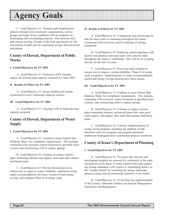C. Goal/Objective #3: Promote park beautification projects through local community organizations, service groups and Eagle Scout candidates with an emphasis on landscaping and tree planting projects. Also promote new, and nurture existing, Friends of the Park agreements for the stewardship of park sites by community groups and concerned individuals.

### **County of Hawaii, Department of Public Works**

#### **I. Goals/Objectives for FY 2003**

A. Goal/Objective #1: Pursuant to EPA mandate, replace all existing large capacity cesspools by April 2005.

#### **II. Results of Efforts for FY 2003**

A. Goal/Objective #1: Secure funding and initiate construction of new wastewater disposal systems.

#### **III. Goals/Objectives for FY 2004**

A. Goal/Objective #1: Ongoing work of replacing large capacity cesspools.

### **County of Hawaii, Department of Water Supply**

#### **I. Goals/Objectives for FY 2003**

A. Goal/Objective #1: Continue to meet Federal Safe Drinking Water Act compliance requirements. This includes continuing with corrosion control treatment at specified water systems and constructing wells to replace springs.

B. Goal/Objective #2: Continue to replace transite pipes containing asbestos and replace steel tanks that contain lead-based paint.

C. Goal/Objective #3: Provide electrical power to remote sites to improve system reliability, implement energy study recommendations, develop a system to track energy savings, and complete Phase II of energy study.

#### **II. Results of Efforts for FY 2003**

A. Goal/Objective #1: Construction and advertising for bids for deep wells is continuing throughout the island. Continuing with corrosion control treatment of springs islandwide.

B. Goal/Objective #2: Replacing transite pipelines with ductile iron pipelines and steel tanks with concrete tanks throughout the island is continuing. This will be an on-going activity for the next 10 years.

C. Goal/Objective #3: Power has been installed at remote sites to improve system reliability. Phase II of energy study completed. Implementation of study recommendations started and energy savings tracking have been started.

#### **III. Goals/Objectives for FY 2004**

A. Goal/Objective #1: Continue to meet Federal Safe Drinking Water Act compliance requirements. This includes continuing with corrosion control treatment at specified water systems, and constructing wells to replace springs.

B. Goal/Objective #2: Continue to replace transite pipes containing asbestos, galvanized pipes that cause poor water quality, and replace steel tanks that contain lead-based paint.

C. Goal/Objective #3: Continue implementation of energy saving program, including the addition of leak detection/water loss program and program personnel. Implement hydrogeneration construction projects islandwide.

### **County of Kaua'i, Department of Planning**

#### **I. Goals/Objectives for FY 2003**

A. Goal/Objective #1: To ensure that land use and development projects are assessed for conformity to the goals and policies of the Kaua'i County General Plan and supporting zoning ordinances with respect to maintaining Kaua'i as the "Garden Island" by sustaining the unique landscape, natural ecology and environmental character of the Island.

B. Goal/Objective #2: To facilitate the implementation of the County's Shoreline Setback and Special Management Area Rules and Regulations.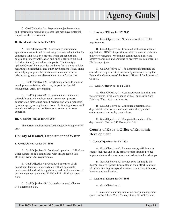

C. Goal/Objective #3: To provide objective reviews and information regarding projects that may have potential impacts to the environment.

#### **II. Results of Efforts for FY 2003**

A. Goal/Objective #1: Discretionary permits and applications are referred to various governmental agencies for comments (and HRS 343 process when applicable) and adjoining property notification and public hearings are held to further identify and address impacts. The County's updated General Plan provides guidance for land use policies regarding environmental and other development issues, along with helping to guide the location and character of new private and government development and infrastructure.

B. Goal/Objective #2: Departmental efforts to monitor development activities, which may impact the Special Management Area, are ongoing.

C. Goal/Objective #3: Departmental comments are offered through the environmental assessment process, conservation district use permit reviews and when requested by other agency or applicant actions. As funding allows, staff attends workshops and conferences to enhance in-house expertise.

#### **III. Goals/Objectives for FY 2004**

The current environmental goals/objectives apply to FY 2004.

### **County of Kaua'i, Department of Water**

#### **I. Goals/Objectives for FY 2003**

A. Goal/Objective #1: Continued operation of all of our water systems in full compliance with all applicable Safe Drinking Water Act requirements.

B. Goal/Objective #2: Continued operation of all department business in accordance with all applicable environmental and safety regulations, and implementation of best management practices (BMPs) within all of our operations.

C. Goal/Objective #3: Update department's Chapter 343 Exemption List.

#### **II. Results of Efforts for FY 2003**

A. Goal/Objective #1: No violations of DOH/EPA requirements.

B. Goal/Objective #2: Complied with environmental regulations. HIOSH inspection resulted in several violations that were corrected. We remain committed to a safe and healthy workplace and continue to progress on implementing BMPs on projects.

C. Goal/Objective #3: The department submitted an amended exemption list. It is currently under review by the Exemption Committee of the State of Hawai'i Environmental Council.

#### **III. Goals/Objectives for FY 2004**

A. Goal/Objective #1: Continued operation of all our water systems in full compliance with all applicable Safe Drinking Water Act requirements.

B. Goal/Objective #2: Continued operation of all department business in accordance with all applicable environmental and safety regulations.

C. Goal/Objective #3: Complete the update of the department's Chapter 343 Exemption List.

## **County of Kaua'i, Office of Economic Development**

#### **I. Goals/Objectives for FY 2003**

A. Goal/Objective #1: Increase energy efficiency in county facilities and in the private sector through project implementation, demonstrations and educational workshops.

B. Goal/Objective #2: Provide seed funding to the Kaua'i Invasive Species Committee in their effort to attract additional funding to expand invasive species identification, location and eradication.

#### **II. Results of Efforts for FY 2003**

A. Goal/Objective #1:

• Installation and upgrade of an energy management system at the Lihu'e Civic Center, Lihu'e, Kaua'i, Hawai'i.